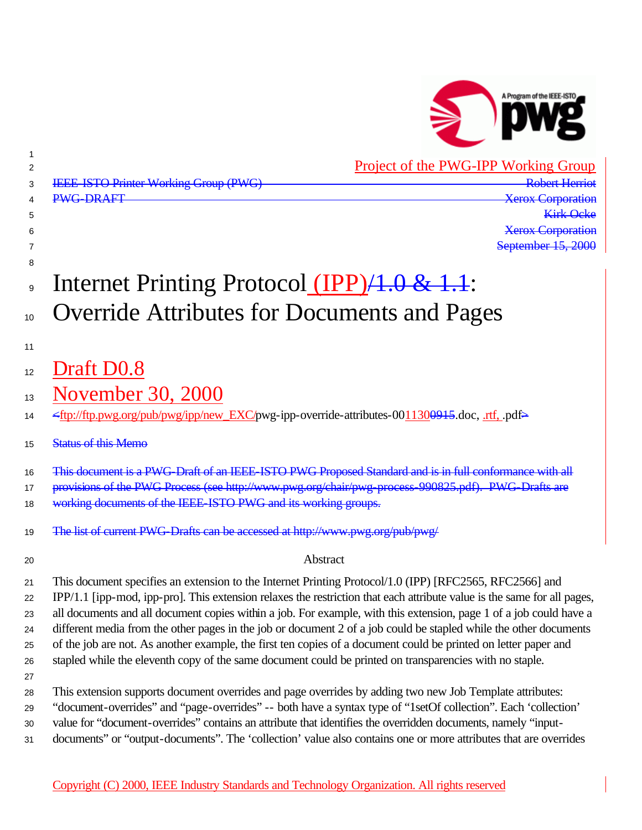

Project of the PWG-IPP Working Group

| 2              | Project of the PWG-IPP WORKing Group                                                                                                                                                                                              |
|----------------|-----------------------------------------------------------------------------------------------------------------------------------------------------------------------------------------------------------------------------------|
| 3              | <b>Robert Herriot</b><br><b>IEEE ISTO Printer Working Group (PWG)</b>                                                                                                                                                             |
| 4              | <b>PWG-DRAFT</b><br><b>Xerox Corporation</b>                                                                                                                                                                                      |
| 5              | <b>Kirk Ocke</b>                                                                                                                                                                                                                  |
| 6              | <b>Xerox Corporation</b>                                                                                                                                                                                                          |
| 7              | September 15, 2000                                                                                                                                                                                                                |
| 8              |                                                                                                                                                                                                                                   |
| $\overline{9}$ | Internet Printing Protocol (IPP)/1.0 & 1.1:                                                                                                                                                                                       |
| 10             | <b>Override Attributes for Documents and Pages</b>                                                                                                                                                                                |
| 11             |                                                                                                                                                                                                                                   |
| 12             | Draft D0.8                                                                                                                                                                                                                        |
| 13             | November 30, 2000                                                                                                                                                                                                                 |
| 14             | <ftp: ftp.pwg.org="" ipp="" new_exc="" pdf="" pub="" pwg="" pwg-ipp-override-attributes-0011300945.doc,="" rtf,=""></ftp:>                                                                                                        |
| 15             | <b>Status of this Memo</b>                                                                                                                                                                                                        |
| 16             | This document is a PWG-Draft of an IEEE-ISTO PWG Proposed Standard and is in full conformance with all                                                                                                                            |
| 17             | provisions of the PWG Process (see http://www.pwg.org/chair/pwg-process-990825.pdf). PWG-Drafts are                                                                                                                               |
| 18             | working documents of the IEEE-ISTO PWG and its working groups.                                                                                                                                                                    |
| 19             | The list of current PWG Drafts can be accessed at http://www.pwg.org/pub/pwg/                                                                                                                                                     |
| 20             | Abstract                                                                                                                                                                                                                          |
| 21             | This document specifies an extension to the Internet Printing Protocol/1.0 (IPP) [RFC2565, RFC2566] and                                                                                                                           |
| 22             | IPP/1.1 [ipp-mod, ipp-pro]. This extension relaxes the restriction that each attribute value is the same for all pages,                                                                                                           |
| 23             | all documents and all document copies within a job. For example, with this extension, page 1 of a job could have a                                                                                                                |
| 24             | different media from the other pages in the job or document 2 of a job could be stapled while the other documents                                                                                                                 |
| 25             | of the job are not. As another example, the first ten copies of a document could be printed on letter paper and                                                                                                                   |
| 26             | stapled while the eleventh copy of the same document could be printed on transparencies with no staple.                                                                                                                           |
| 27             |                                                                                                                                                                                                                                   |
| 28             | This extension supports document overrides and page overrides by adding two new Job Template attributes:                                                                                                                          |
| 29             | "document-overrides" and "page-overrides" -- both have a syntax type of "1setOf collection". Each 'collection'                                                                                                                    |
| 30<br>31       | value for "document-overrides" contains an attribute that identifies the overridden documents, namely "input-<br>documents" or "output-documents". The 'collection' value also contains one or more attributes that are overrides |
|                |                                                                                                                                                                                                                                   |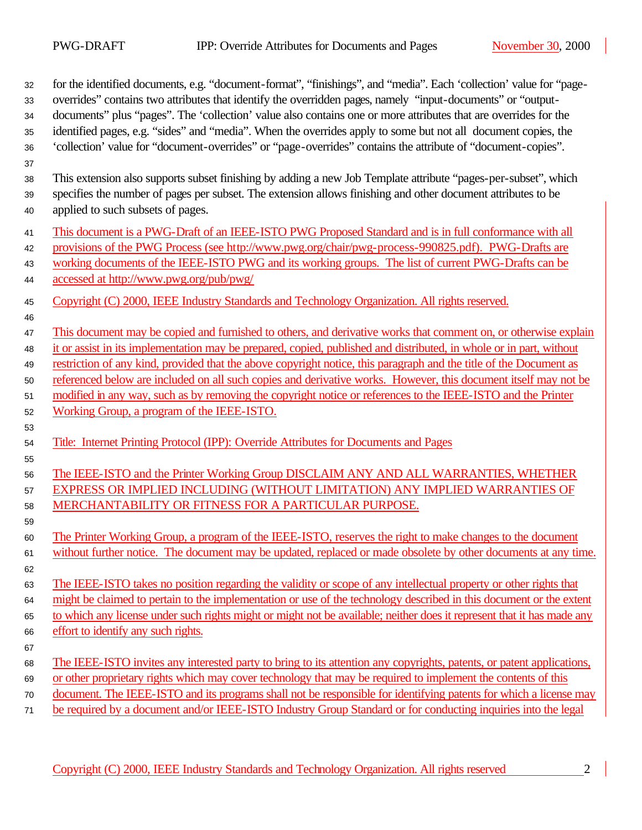| 32<br>33 | for the identified documents, e.g. "document-format", "finishings", and "media". Each 'collection' value for "page-<br>overrides" contains two attributes that identify the overridden pages, namely "input-documents" or "output- |
|----------|------------------------------------------------------------------------------------------------------------------------------------------------------------------------------------------------------------------------------------|
| 34       | documents" plus "pages". The 'collection' value also contains one or more attributes that are overrides for the                                                                                                                    |
| 35       | identified pages, e.g. "sides" and "media". When the overrides apply to some but not all document copies, the                                                                                                                      |
| 36       | 'collection' value for "document-overrides" or "page-overrides" contains the attribute of "document-copies".                                                                                                                       |
| 37       |                                                                                                                                                                                                                                    |
| 38       | This extension also supports subset finishing by adding a new Job Template attribute "pages-per-subset", which                                                                                                                     |
| 39       | specifies the number of pages per subset. The extension allows finishing and other document attributes to be                                                                                                                       |
| 40       | applied to such subsets of pages.                                                                                                                                                                                                  |
| 41       | This document is a PWG-Draft of an IEEE-ISTO PWG Proposed Standard and is in full conformance with all                                                                                                                             |
| 42       | provisions of the PWG Process (see http://www.pwg.org/chair/pwg-process-990825.pdf). PWG-Drafts are                                                                                                                                |
| 43       | working documents of the IEEE-ISTO PWG and its working groups. The list of current PWG-Drafts can be                                                                                                                               |
| 44       | accessed at http://www.pwg.org/pub/pwg/                                                                                                                                                                                            |
| 45       | Copyright (C) 2000, IEEE Industry Standards and Technology Organization. All rights reserved.                                                                                                                                      |
| 46       |                                                                                                                                                                                                                                    |
| 47       | This document may be copied and furnished to others, and derivative works that comment on, or otherwise explain                                                                                                                    |
| 48       | it or assist in its implementation may be prepared, copied, published and distributed, in whole or in part, without                                                                                                                |
| 49       | restriction of any kind, provided that the above copyright notice, this paragraph and the title of the Document as                                                                                                                 |
| 50       | referenced below are included on all such copies and derivative works. However, this document itself may not be                                                                                                                    |
| 51       | modified in any way, such as by removing the copyright notice or references to the IEEE-ISTO and the Printer                                                                                                                       |
| 52       | Working Group, a program of the IEEE-ISTO.                                                                                                                                                                                         |
| 53       |                                                                                                                                                                                                                                    |
| 54       | Title: Internet Printing Protocol (IPP): Override Attributes for Documents and Pages                                                                                                                                               |
| 55       |                                                                                                                                                                                                                                    |
| 56       | The IEEE-ISTO and the Printer Working Group DISCLAIM ANY AND ALL WARRANTIES, WHETHER                                                                                                                                               |
| 57       | EXPRESS OR IMPLIED INCLUDING (WITHOUT LIMITATION) ANY IMPLIED WARRANTIES OF                                                                                                                                                        |
| 58       | MERCHANTABILITY OR FITNESS FOR A PARTICULAR PURPOSE.                                                                                                                                                                               |
| 59       |                                                                                                                                                                                                                                    |
| 60       | The Printer Working Group, a program of the IEEE-ISTO, reserves the right to make changes to the document                                                                                                                          |
| 61       | without further notice. The document may be updated, replaced or made obsolete by other documents at any time.                                                                                                                     |
| 62       |                                                                                                                                                                                                                                    |
| 63       | The IEEE-ISTO takes no position regarding the validity or scope of any intellectual property or other rights that                                                                                                                  |
| 64       | might be claimed to pertain to the implementation or use of the technology described in this document or the extent                                                                                                                |
| 65       | to which any license under such rights might or might not be available; neither does it represent that it has made any                                                                                                             |
| 66       | effort to identify any such rights.                                                                                                                                                                                                |
| 67       |                                                                                                                                                                                                                                    |
| 68       | The IEEE-ISTO invites any interested party to bring to its attention any copyrights, patents, or patent applications,                                                                                                              |
| 69       | or other proprietary rights which may cover technology that may be required to implement the contents of this                                                                                                                      |
| $70\,$   | document. The IEEE-ISTO and its programs shall not be responsible for identifying patents for which a license may                                                                                                                  |
| 71       | be required by a document and/or IEEE-ISTO Industry Group Standard or for conducting inquiries into the legal                                                                                                                      |

Copyright (C) 2000, IEEE Industry Standards and Technology Organization. All rights reserved 2

 $\overline{\phantom{0}}$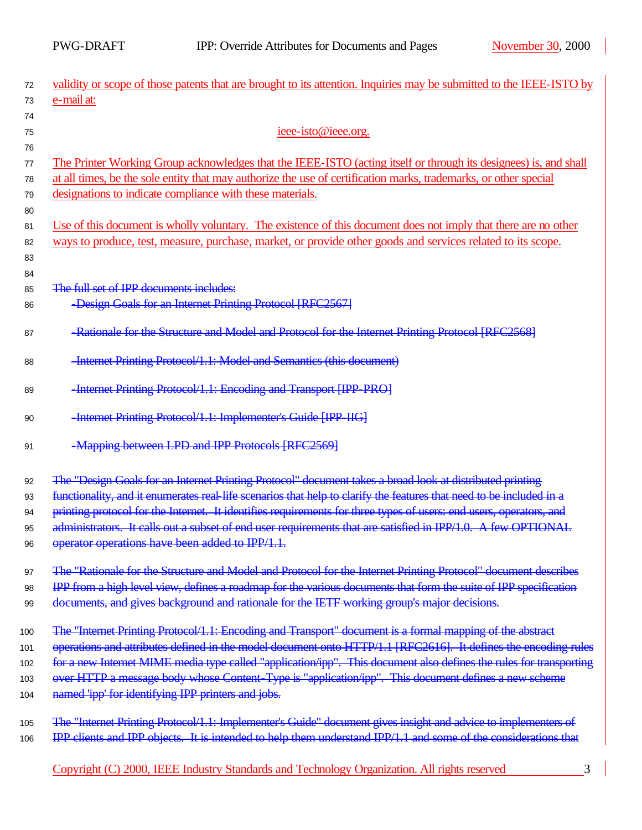| 72  | validity or scope of those patents that are brought to its attention. Inquiries may be submitted to the IEEE-ISTO by |  |  |  |  |
|-----|----------------------------------------------------------------------------------------------------------------------|--|--|--|--|
| 73  | e-mail at:                                                                                                           |  |  |  |  |
| 74  |                                                                                                                      |  |  |  |  |
| 75  | ieee-isto@ieee.org.                                                                                                  |  |  |  |  |
| 76  |                                                                                                                      |  |  |  |  |
| 77  | The Printer Working Group acknowledges that the IEEE-ISTO (acting itself or through its designees) is, and shall     |  |  |  |  |
| 78  | at all times, be the sole entity that may authorize the use of certification marks, trademarks, or other special     |  |  |  |  |
| 79  | designations to indicate compliance with these materials.                                                            |  |  |  |  |
| 80  |                                                                                                                      |  |  |  |  |
| 81  | Use of this document is wholly voluntary. The existence of this document does not imply that there are no other      |  |  |  |  |
| 82  | ways to produce, test, measure, purchase, market, or provide other goods and services related to its scope.          |  |  |  |  |
| 83  |                                                                                                                      |  |  |  |  |
| 84  |                                                                                                                      |  |  |  |  |
| 85  | The full set of IPP documents includes:                                                                              |  |  |  |  |
| 86  | -Design Goals for an Internet Printing Protocol [RFC2567]                                                            |  |  |  |  |
| 87  | -Rationale for the Structure and Model and Protocol for the Internet Printing Protocol [RFC2568]                     |  |  |  |  |
|     |                                                                                                                      |  |  |  |  |
| 88  | -Internet Printing Protocol/1.1: Model and Semantics (this document)                                                 |  |  |  |  |
|     |                                                                                                                      |  |  |  |  |
| 89  | -Internet Printing Protocol/1.1: Encoding and Transport [IPP PRO]                                                    |  |  |  |  |
| 90  | -Internet Printing Protocol/1.1: Implementer's Guide [IPP-IIG]                                                       |  |  |  |  |
|     |                                                                                                                      |  |  |  |  |
| 91  | -Mapping between LPD and IPP Protocols [RFC2569]                                                                     |  |  |  |  |
|     |                                                                                                                      |  |  |  |  |
| 92  | The "Design Goals for an Internet Printing Protocol" document takes a broad look at distributed printing             |  |  |  |  |
| 93  | functionality, and it enumerates real-life scenarios that help to clarify the features that need to be included in a |  |  |  |  |
| 94  | printing protocol for the Internet. It identifies requirements for three types of users: end users, operators, and   |  |  |  |  |
| 95  | administrators. It calls out a subset of end user requirements that are satisfied in IPP/1.0. A few OPTIONAL         |  |  |  |  |
| 96  | operator operations have been added to IPP/1.1.                                                                      |  |  |  |  |
|     |                                                                                                                      |  |  |  |  |
| 97  | The "Rationale for the Structure and Model and Protocol for the Internet Printing Protocol" document describes       |  |  |  |  |
| 98  | IPP from a high level view, defines a roadmap for the various documents that form the suite of IPP specification     |  |  |  |  |
| 99  | documents, and gives background and rationale for the IETF working group's major decisions.                          |  |  |  |  |
| 100 | The "Internet Printing Protocol/1.1: Encoding and Transport" document is a formal mapping of the abstract            |  |  |  |  |
| 101 | operations and attributes defined in the model document onto HTTP/1.1 [RFC2616]. It defines the encoding rules       |  |  |  |  |
| 102 | for a new Internet MIME media type called "application/ipp". This document also defines the rules for transporting   |  |  |  |  |
| 103 | over HTTP a message body whose Content-Type is "application/ipp". This document defines a new scheme                 |  |  |  |  |
| 104 | named 'ipp' for identifying IPP printers and jobs.                                                                   |  |  |  |  |
|     |                                                                                                                      |  |  |  |  |
| 105 | The "Internet Printing Protocol/1.1: Implementer's Guide" document gives insight and advice to implementers of       |  |  |  |  |
| 106 | IPP clients and IPP objects. It is intended to help them understand IPP/1.1 and some of the considerations that      |  |  |  |  |
|     |                                                                                                                      |  |  |  |  |
|     | Copyright (C) 2000, IEEE Industry Standards and Technology Organization. All rights reserved<br>3                    |  |  |  |  |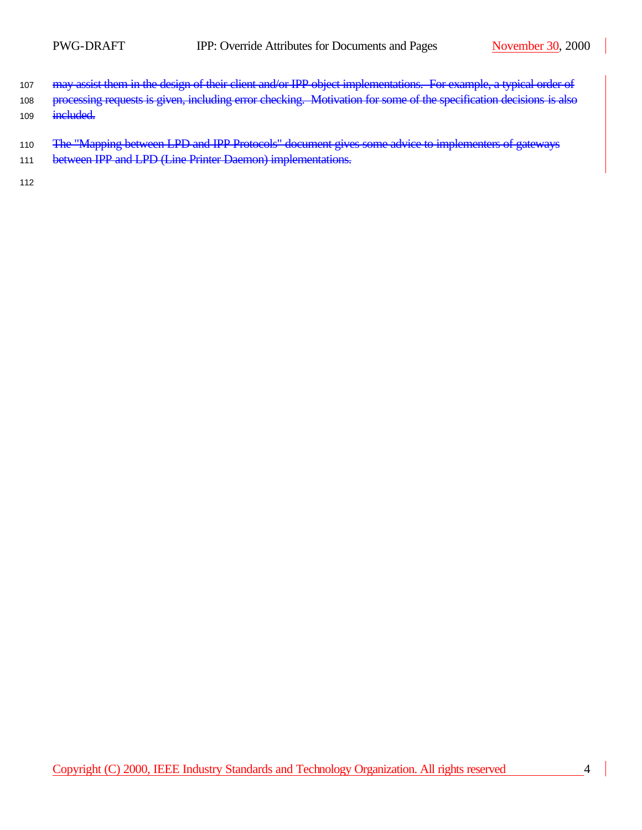- 107 may assist them in the design of their client and/or IPP object implementations. For example, a typical order of
- 108 processing requests is given, including error checking. Motivation for some of the specification decisions is 109 included.
- 110 The "Mapping between LPD and IPP Protocols" document gives some advice to implementers of gateways
- 111 between IPP and LPD (Line Printer Daemon) implementations.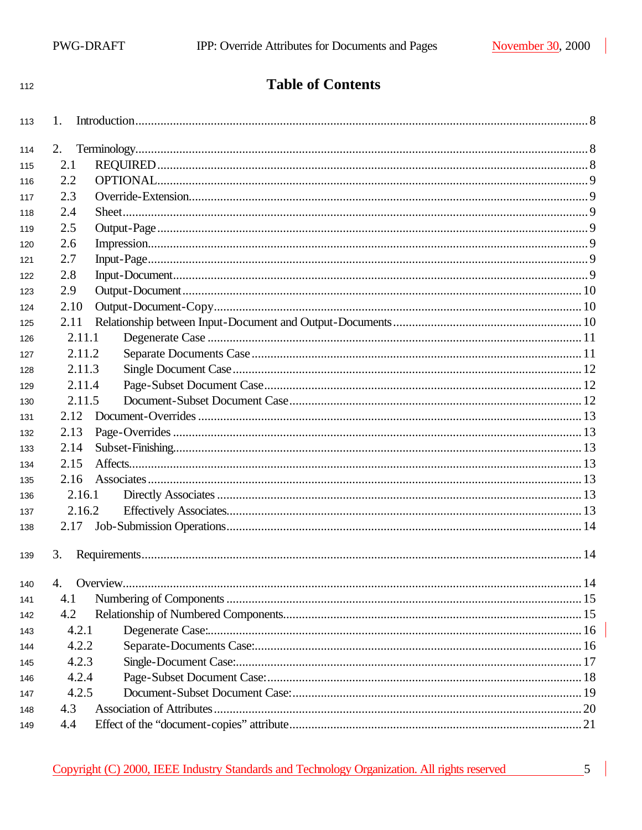| 112 | <b>Table of Contents</b>         |  |
|-----|----------------------------------|--|
| 113 | 1.                               |  |
| 114 | 2.                               |  |
| 115 | 2.1                              |  |
| 116 | 2.2                              |  |
| 117 | 2.3                              |  |
| 118 | 2.4                              |  |
| 119 | 2.5                              |  |
| 120 | 2.6                              |  |
| 121 | 2.7                              |  |
| 122 | 2.8                              |  |
| 123 | 2.9                              |  |
| 124 | 2.10                             |  |
| 125 | 2.11                             |  |
| 126 | 2.11.1                           |  |
| 127 | 2.11.2                           |  |
| 128 | 2.11.3                           |  |
| 129 | 2.11.4                           |  |
| 130 | 2.11.5                           |  |
| 131 | 2.12                             |  |
| 132 | 2.13                             |  |
| 133 | 2.14                             |  |
| 134 | 2.15                             |  |
| 135 | 2.16                             |  |
| 136 | 2.16.1                           |  |
| 137 | 2.16.2                           |  |
| 138 | 2.17                             |  |
| 139 | 3.                               |  |
| 140 | 4.                               |  |
| 141 | 4.1                              |  |
| 142 | 4.2                              |  |
| 143 | 4.2.1                            |  |
| 144 | 4.2.2                            |  |
| 145 | 4.2.3                            |  |
| 146 | 4.2.4                            |  |
| 147 | 4.2.5                            |  |
| 148 | Association of Attributes<br>4.3 |  |
| 149 | 4.4                              |  |

 $\overline{\phantom{0}}$  5 |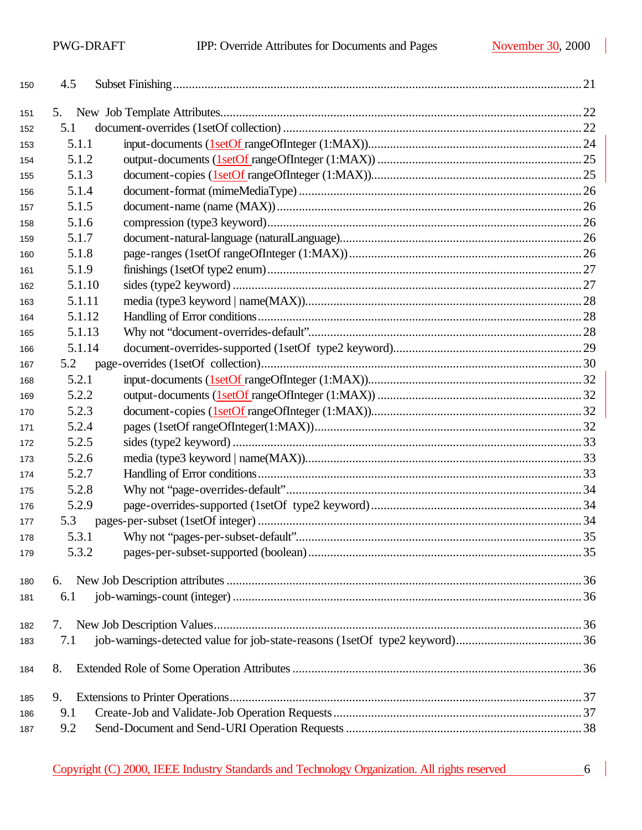| 150 | 4.5    |  |
|-----|--------|--|
| 151 | 5.     |  |
| 152 | 5.1    |  |
| 153 | 5.1.1  |  |
| 154 | 5.1.2  |  |
| 155 | 5.1.3  |  |
| 156 | 5.1.4  |  |
| 157 | 5.1.5  |  |
| 158 | 5.1.6  |  |
| 159 | 5.1.7  |  |
| 160 | 5.1.8  |  |
| 161 | 5.1.9  |  |
| 162 | 5.1.10 |  |
| 163 | 5.1.11 |  |
| 164 | 5.1.12 |  |
| 165 | 5.1.13 |  |
| 166 | 5.1.14 |  |
| 167 | 5.2    |  |
| 168 | 5.2.1  |  |
| 169 | 5.2.2  |  |
| 170 | 5.2.3  |  |
| 171 | 5.2.4  |  |
| 172 | 5.2.5  |  |
| 173 | 5.2.6  |  |
| 174 | 5.2.7  |  |
| 175 | 5.2.8  |  |
| 176 | 5.2.9  |  |
| 177 | 5.3    |  |
| 178 | 5.3.1  |  |
| 179 | 5.3.2  |  |
|     |        |  |
| 180 | 6.     |  |
| 181 | 6.1    |  |
| 182 | 7.     |  |
| 183 | 7.1    |  |
|     |        |  |
| 184 | 8.     |  |
|     |        |  |
| 185 | 9.     |  |
| 186 | 9.1    |  |
| 187 | 9.2    |  |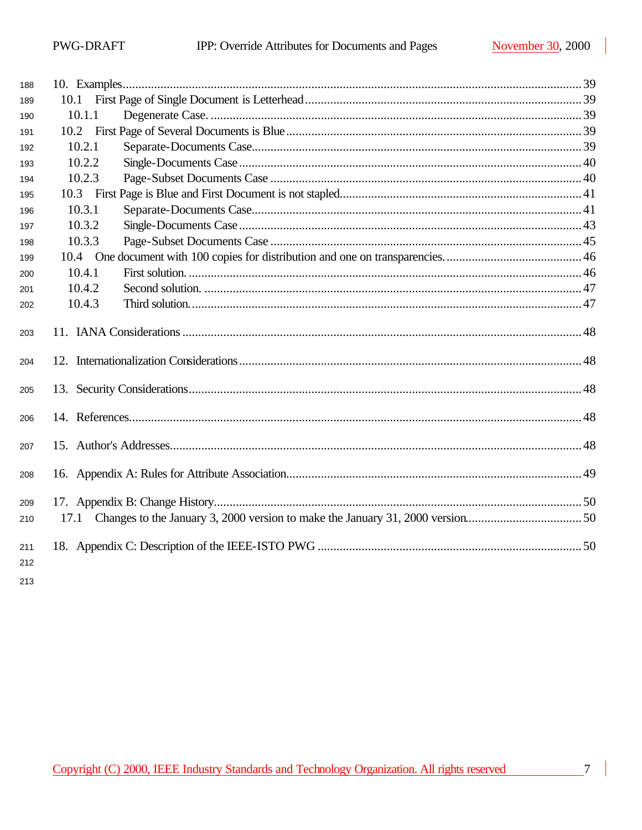| 188        |        |  |
|------------|--------|--|
| 189        |        |  |
| 190        | 10.1.1 |  |
| 191        |        |  |
| 192        | 10.2.1 |  |
| 193        | 10.2.2 |  |
| 194        | 10.2.3 |  |
| 195        |        |  |
| 196        | 10.3.1 |  |
| 197        | 10.3.2 |  |
| 198        | 10.3.3 |  |
| 199        |        |  |
| 200        | 10.4.1 |  |
| 201        | 10.4.2 |  |
| 202        | 10.4.3 |  |
| 203        |        |  |
| 204        |        |  |
| 205        |        |  |
| 206        |        |  |
| 207        |        |  |
| 208        |        |  |
| 209        |        |  |
| 210        |        |  |
| 211<br>212 |        |  |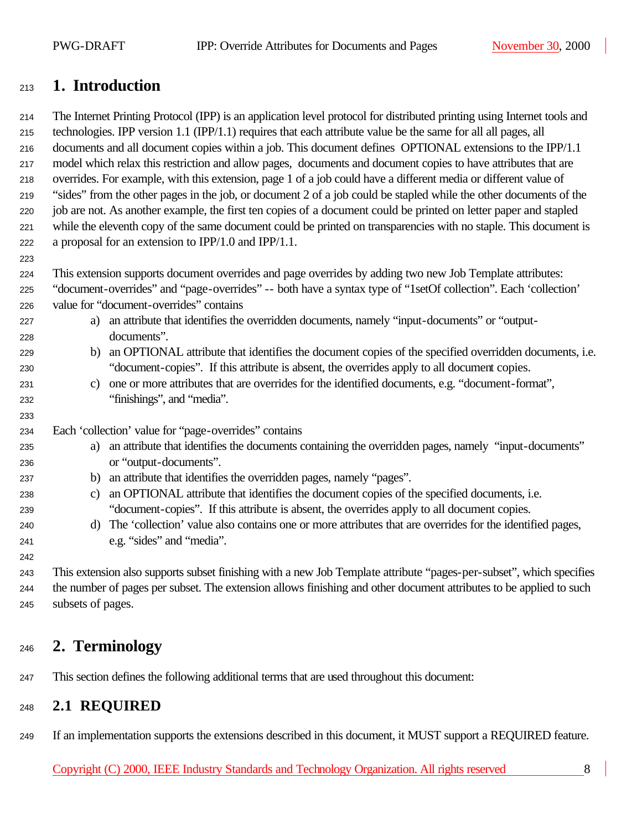## **1. Introduction**

 The Internet Printing Protocol (IPP) is an application level protocol for distributed printing using Internet tools and technologies. IPP version 1.1 (IPP/1.1) requires that each attribute value be the same for all all pages, all documents and all document copies within a job. This document defines OPTIONAL extensions to the IPP/1.1 model which relax this restriction and allow pages, documents and document copies to have attributes that are overrides. For example, with this extension, page 1 of a job could have a different media or different value of "sides" from the other pages in the job, or document 2 of a job could be stapled while the other documents of the job are not. As another example, the first ten copies of a document could be printed on letter paper and stapled while the eleventh copy of the same document could be printed on transparencies with no staple. This document is a proposal for an extension to IPP/1.0 and IPP/1.1.

This extension supports document overrides and page overrides by adding two new Job Template attributes:

- "document-overrides" and "page-overrides" -- both have a syntax type of "1setOf collection". Each 'collection' value for "document-overrides" contains
- a) an attribute that identifies the overridden documents, namely "input-documents" or "output-documents".
- b) an OPTIONAL attribute that identifies the document copies of the specified overridden documents, i.e. "document-copies". If this attribute is absent, the overrides apply to all document copies.
- c) one or more attributes that are overrides for the identified documents, e.g. "document-format", "finishings", and "media".
- Each 'collection' value for "page-overrides" contains
- a) an attribute that identifies the documents containing the overridden pages, namely "input-documents" or "output-documents".
- b) an attribute that identifies the overridden pages, namely "pages".
- c) an OPTIONAL attribute that identifies the document copies of the specified documents, i.e. "document-copies". If this attribute is absent, the overrides apply to all document copies.
- d) The 'collection' value also contains one or more attributes that are overrides for the identified pages, e.g. "sides" and "media".

 This extension also supports subset finishing with a new Job Template attribute "pages-per-subset", which specifies the number of pages per subset. The extension allows finishing and other document attributes to be applied to such subsets of pages.

## **2. Terminology**

This section defines the following additional terms that are used throughout this document:

### **2.1 REQUIRED**

If an implementation supports the extensions described in this document, it MUST support a REQUIRED feature.

Copyright (C) 2000, IEEE Industry Standards and Technology Organization. All rights reserved 8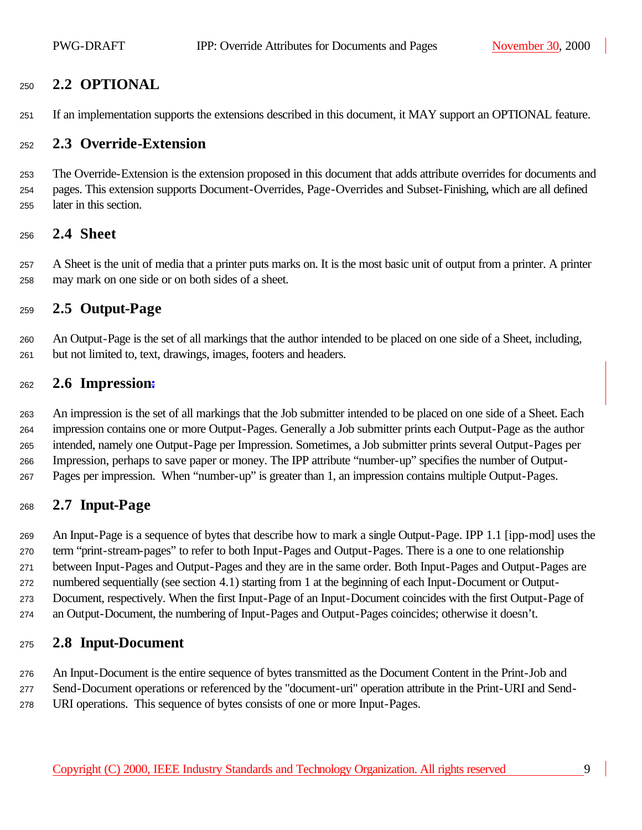### **2.2 OPTIONAL**

If an implementation supports the extensions described in this document, it MAY support an OPTIONAL feature.

#### **2.3 Override-Extension**

 The Override-Extension is the extension proposed in this document that adds attribute overrides for documents and pages. This extension supports Document-Overrides, Page-Overrides and Subset-Finishing, which are all defined later in this section.

#### **2.4 Sheet**

 A Sheet is the unit of media that a printer puts marks on. It is the most basic unit of output from a printer. A printer may mark on one side or on both sides of a sheet.

#### **2.5 Output-Page**

 An Output-Page is the set of all markings that the author intended to be placed on one side of a Sheet, including, but not limited to, text, drawings, images, footers and headers.

#### **2.6 Impression:**

 An impression is the set of all markings that the Job submitter intended to be placed on one side of a Sheet. Each impression contains one or more Output-Pages. Generally a Job submitter prints each Output-Page as the author intended, namely one Output-Page per Impression. Sometimes, a Job submitter prints several Output-Pages per Impression, perhaps to save paper or money. The IPP attribute "number-up" specifies the number of Output-Pages per impression. When "number-up" is greater than 1, an impression contains multiple Output-Pages.

### **2.7 Input-Page**

 An Input-Page is a sequence of bytes that describe how to mark a single Output-Page. IPP 1.1 [ipp-mod] uses the term "print-stream-pages" to refer to both Input-Pages and Output-Pages. There is a one to one relationship between Input-Pages and Output-Pages and they are in the same order. Both Input-Pages and Output-Pages are numbered sequentially (see section 4.1) starting from 1 at the beginning of each Input-Document or Output- Document, respectively. When the first Input-Page of an Input-Document coincides with the first Output-Page of an Output-Document, the numbering of Input-Pages and Output-Pages coincides; otherwise it doesn't.

#### **2.8 Input-Document**

An Input-Document is the entire sequence of bytes transmitted as the Document Content in the Print-Job and

Send-Document operations or referenced by the "document-uri" operation attribute in the Print-URI and Send-

URI operations. This sequence of bytes consists of one or more Input-Pages.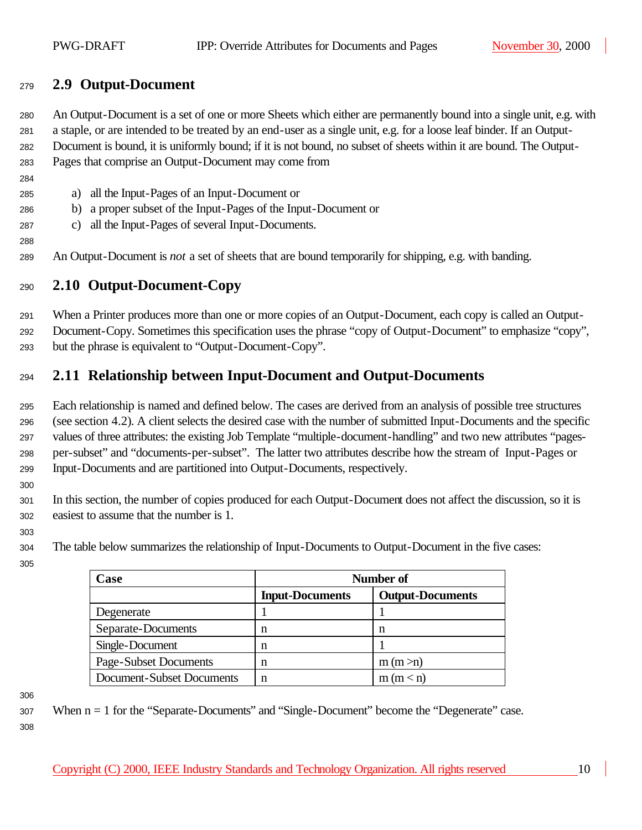### **2.9 Output-Document**

 An Output-Document is a set of one or more Sheets which either are permanently bound into a single unit, e.g. with a staple, or are intended to be treated by an end-user as a single unit, e.g. for a loose leaf binder. If an Output- Document is bound, it is uniformly bound; if it is not bound, no subset of sheets within it are bound. The Output-Pages that comprise an Output-Document may come from

- a) all the Input-Pages of an Input-Document or
- b) a proper subset of the Input-Pages of the Input-Document or
- c) all the Input-Pages of several Input-Documents.
- An Output-Document is *not* a set of sheets that are bound temporarily for shipping, e.g. with banding.

### **2.10 Output-Document-Copy**

 When a Printer produces more than one or more copies of an Output-Document, each copy is called an Output- Document-Copy. Sometimes this specification uses the phrase "copy of Output-Document" to emphasize "copy", but the phrase is equivalent to "Output-Document-Copy".

### **2.11 Relationship between Input-Document and Output-Documents**

 Each relationship is named and defined below. The cases are derived from an analysis of possible tree structures (see section 4.2). A client selects the desired case with the number of submitted Input-Documents and the specific values of three attributes: the existing Job Template "multiple-document-handling" and two new attributes "pages- per-subset" and "documents-per-subset". The latter two attributes describe how the stream of Input-Pages or Input-Documents and are partitioned into Output-Documents, respectively.

 In this section, the number of copies produced for each Output-Document does not affect the discussion, so it is easiest to assume that the number is 1.

The table below summarizes the relationship of Input-Documents to Output-Document in the five cases:

| Case                      | Number of              |                         |  |
|---------------------------|------------------------|-------------------------|--|
|                           | <b>Input-Documents</b> | <b>Output-Documents</b> |  |
| Degenerate                |                        |                         |  |
| Separate-Documents        | n                      | n                       |  |
| Single-Document           | n                      |                         |  |
| Page-Subset Documents     | n                      | m(m > n)                |  |
| Document-Subset Documents | n                      | m(m < n)                |  |

 When n = 1 for the "Separate-Documents" and "Single-Document" become the "Degenerate" case.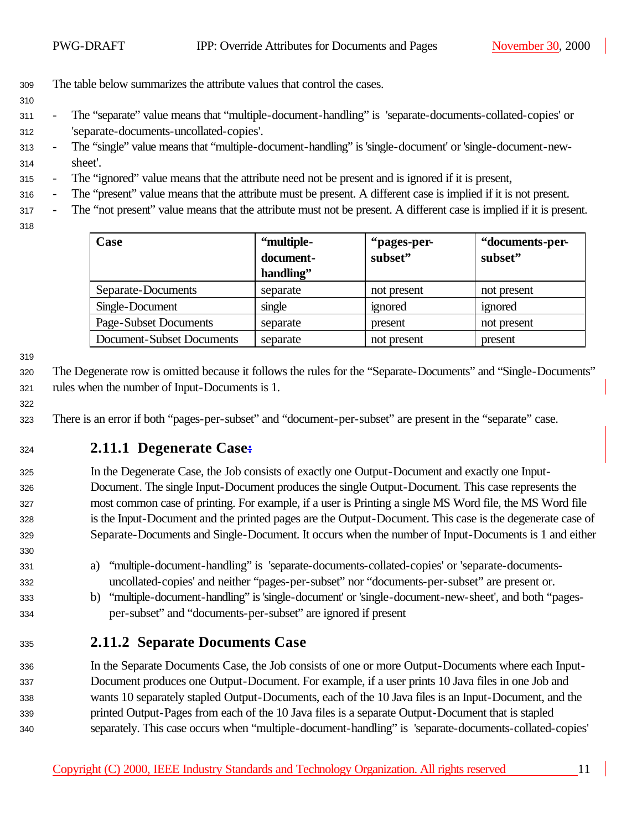- The table below summarizes the attribute values that control the cases.
- 
- The "separate" value means that "multiple-document-handling" is 'separate-documents-collated-copies' or 'separate-documents-uncollated-copies'.
- The "single" value means that "multiple-document-handling" is 'single-document' or 'single-document-new-sheet'.
- The "ignored" value means that the attribute need not be present and is ignored if it is present,
- The "present" value means that the attribute must be present. A different case is implied if it is not present.
- The "not present" value means that the attribute must not be present. A different case is implied if it is present.
- 

| Case                      | "multiple- | "pages-per- | "documents-per- |
|---------------------------|------------|-------------|-----------------|
|                           | document-  | subset"     | subset"         |
|                           | handling"  |             |                 |
| Separate-Documents        | separate   | not present | not present     |
| Single-Document           | single     | ignored     | ignored         |
| Page-Subset Documents     | separate   | present     | not present     |
| Document-Subset Documents | separate   | not present | present         |

 The Degenerate row is omitted because it follows the rules for the "Separate-Documents" and "Single-Documents" rules when the number of Input-Documents is 1.

There is an error if both "pages-per-subset" and "document-per-subset" are present in the "separate" case.

### **2.11.1 Degenerate Case:**

 In the Degenerate Case, the Job consists of exactly one Output-Document and exactly one Input- Document. The single Input-Document produces the single Output-Document. This case represents the most common case of printing. For example, if a user is Printing a single MS Word file, the MS Word file is the Input-Document and the printed pages are the Output-Document. This case is the degenerate case of Separate-Documents and Single-Document. It occurs when the number of Input-Documents is 1 and either

- a) "multiple-document-handling" is 'separate-documents-collated-copies' or 'separate-documents-uncollated-copies' and neither "pages-per-subset" nor "documents-per-subset" are present or.
- b) "multiple-document-handling" is 'single-document' or 'single-document-new-sheet', and both "pages-per-subset" and "documents-per-subset" are ignored if present
- **2.11.2 Separate Documents Case**

 In the Separate Documents Case, the Job consists of one or more Output-Documents where each Input- Document produces one Output-Document. For example, if a user prints 10 Java files in one Job and wants 10 separately stapled Output-Documents, each of the 10 Java files is an Input-Document, and the printed Output-Pages from each of the 10 Java files is a separate Output-Document that is stapled separately. This case occurs when "multiple-document-handling" is 'separate-documents-collated-copies'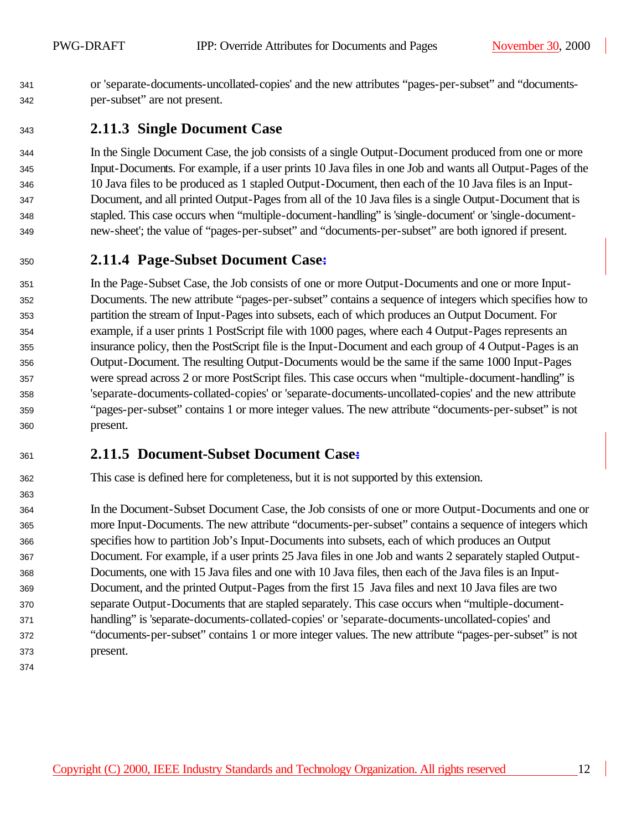or 'separate-documents-uncollated-copies' and the new attributes "pages-per-subset" and "documents-per-subset" are not present.

### **2.11.3 Single Document Case**

 In the Single Document Case, the job consists of a single Output-Document produced from one or more Input-Documents. For example, if a user prints 10 Java files in one Job and wants all Output-Pages of the 10 Java files to be produced as 1 stapled Output-Document, then each of the 10 Java files is an Input- Document, and all printed Output-Pages from all of the 10 Java files is a single Output-Document that is stapled. This case occurs when "multiple-document-handling" is 'single-document' or 'single-document-new-sheet'; the value of "pages-per-subset" and "documents-per-subset" are both ignored if present.

### **2.11.4 Page-Subset Document Case:**

 In the Page-Subset Case, the Job consists of one or more Output-Documents and one or more Input- Documents. The new attribute "pages-per-subset" contains a sequence of integers which specifies how to partition the stream of Input-Pages into subsets, each of which produces an Output Document. For example, if a user prints 1 PostScript file with 1000 pages, where each 4 Output-Pages represents an insurance policy, then the PostScript file is the Input-Document and each group of 4 Output-Pages is an Output-Document. The resulting Output-Documents would be the same if the same 1000 Input-Pages were spread across 2 or more PostScript files. This case occurs when "multiple-document-handling" is 'separate-documents-collated-copies' or 'separate-documents-uncollated-copies' and the new attribute "pages-per-subset" contains 1 or more integer values. The new attribute "documents-per-subset" is not present.

## **2.11.5 Document-Subset Document Case:**

This case is defined here for completeness, but it is not supported by this extension.

 In the Document-Subset Document Case, the Job consists of one or more Output-Documents and one or more Input-Documents. The new attribute "documents-per-subset" contains a sequence of integers which specifies how to partition Job's Input-Documents into subsets, each of which produces an Output Document. For example, if a user prints 25 Java files in one Job and wants 2 separately stapled Output- Documents, one with 15 Java files and one with 10 Java files, then each of the Java files is an Input- Document, and the printed Output-Pages from the first 15 Java files and next 10 Java files are two separate Output-Documents that are stapled separately. This case occurs when "multiple-document- handling" is 'separate-documents-collated-copies' or 'separate-documents-uncollated-copies' and "documents-per-subset" contains 1 or more integer values. The new attribute "pages-per-subset" is not present.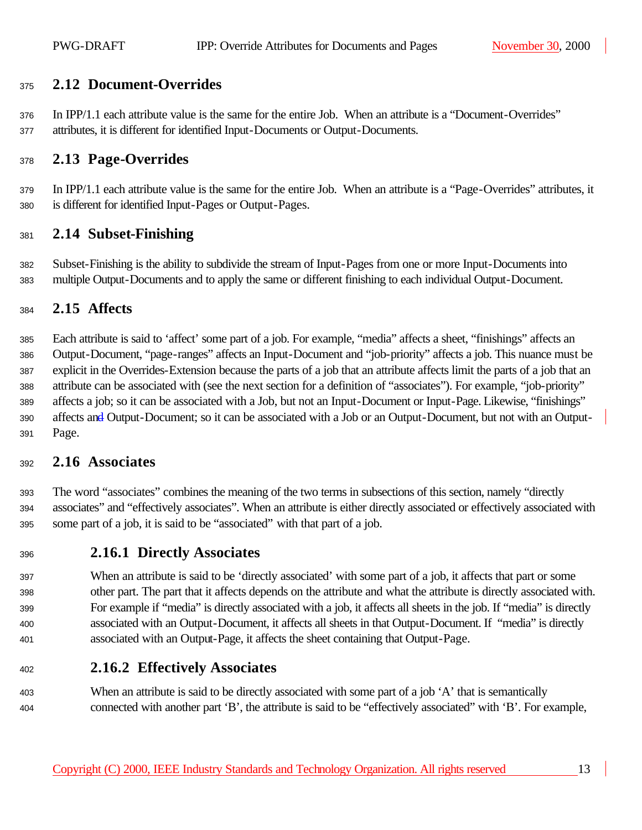### **2.12 Document-Overrides**

 In IPP/1.1 each attribute value is the same for the entire Job. When an attribute is a "Document-Overrides" attributes, it is different for identified Input-Documents or Output-Documents.

### **2.13 Page-Overrides**

 In IPP/1.1 each attribute value is the same for the entire Job. When an attribute is a "Page-Overrides" attributes, it is different for identified Input-Pages or Output-Pages.

#### **2.14 Subset-Finishing**

 Subset-Finishing is the ability to subdivide the stream of Input-Pages from one or more Input-Documents into multiple Output-Documents and to apply the same or different finishing to each individual Output-Document.

#### **2.15 Affects**

 Each attribute is said to 'affect' some part of a job. For example, "media" affects a sheet, "finishings" affects an Output-Document, "page-ranges" affects an Input-Document and "job-priority" affects a job. This nuance must be explicit in the Overrides-Extension because the parts of a job that an attribute affects limit the parts of a job that an attribute can be associated with (see the next section for a definition of "associates"). For example, "job-priority" affects a job; so it can be associated with a Job, but not an Input-Document or Input-Page. Likewise, "finishings" 390 affects and Output-Document; so it can be associated with a Job or an Output-Document, but not with an Output-Page.

#### **2.16 Associates**

 The word "associates" combines the meaning of the two terms in subsections of this section, namely "directly associates" and "effectively associates". When an attribute is either directly associated or effectively associated with some part of a job, it is said to be "associated" with that part of a job.

#### **2.16.1 Directly Associates**

 When an attribute is said to be 'directly associated' with some part of a job, it affects that part or some other part. The part that it affects depends on the attribute and what the attribute is directly associated with. For example if "media" is directly associated with a job, it affects all sheets in the job. If "media" is directly associated with an Output-Document, it affects all sheets in that Output-Document. If "media" is directly associated with an Output-Page, it affects the sheet containing that Output-Page.

### **2.16.2 Effectively Associates**

403 When an attribute is said to be directly associated with some part of a job 'A' that is semantically connected with another part 'B', the attribute is said to be "effectively associated" with 'B'. For example,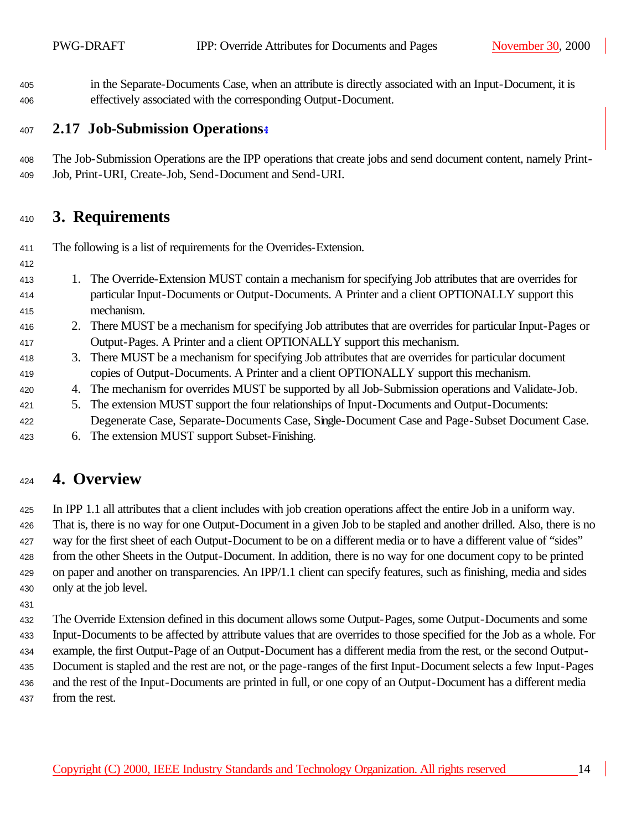in the Separate-Documents Case, when an attribute is directly associated with an Input-Document, it is effectively associated with the corresponding Output-Document.

#### **2.17 Job-Submission Operations:**

 The Job-Submission Operations are the IPP operations that create jobs and send document content, namely Print-Job, Print-URI, Create-Job, Send-Document and Send-URI.

## **3. Requirements**

The following is a list of requirements for the Overrides-Extension.

- 1. The Override-Extension MUST contain a mechanism for specifying Job attributes that are overrides for particular Input-Documents or Output-Documents. A Printer and a client OPTIONALLY support this mechanism.
- 2. There MUST be a mechanism for specifying Job attributes that are overrides for particular Input-Pages or Output-Pages. A Printer and a client OPTIONALLY support this mechanism.
- 3. There MUST be a mechanism for specifying Job attributes that are overrides for particular document copies of Output-Documents. A Printer and a client OPTIONALLY support this mechanism.
- 4. The mechanism for overrides MUST be supported by all Job-Submission operations and Validate-Job.
- 5. The extension MUST support the four relationships of Input-Documents and Output-Documents: Degenerate Case, Separate-Documents Case, Single-Document Case and Page-Subset Document Case.
- 6. The extension MUST support Subset-Finishing.

## **4. Overview**

 In IPP 1.1 all attributes that a client includes with job creation operations affect the entire Job in a uniform way. That is, there is no way for one Output-Document in a given Job to be stapled and another drilled. Also, there is no way for the first sheet of each Output-Document to be on a different media or to have a different value of "sides" from the other Sheets in the Output-Document. In addition, there is no way for one document copy to be printed on paper and another on transparencies. An IPP/1.1 client can specify features, such as finishing, media and sides only at the job level.

 The Override Extension defined in this document allows some Output-Pages, some Output-Documents and some Input-Documents to be affected by attribute values that are overrides to those specified for the Job as a whole. For example, the first Output-Page of an Output-Document has a different media from the rest, or the second Output- Document is stapled and the rest are not, or the page-ranges of the first Input-Document selects a few Input-Pages and the rest of the Input-Documents are printed in full, or one copy of an Output-Document has a different media from the rest.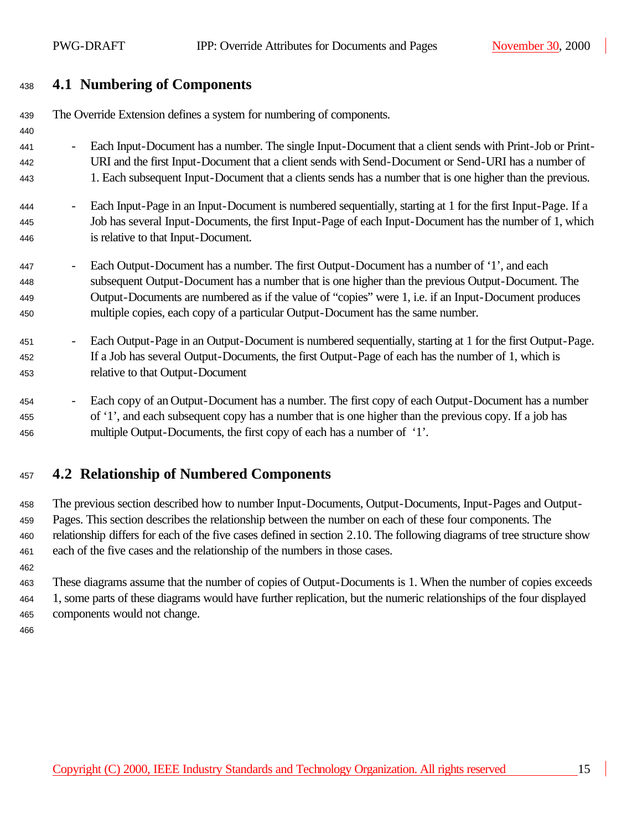## **4.1 Numbering of Components**

| 439 | The Override Extension defines a system for numbering of components.                                                                  |
|-----|---------------------------------------------------------------------------------------------------------------------------------------|
| 440 |                                                                                                                                       |
| 441 | Each Input-Document has a number. The single Input-Document that a client sends with Print-Job or Print-                              |
| 442 | URI and the first Input-Document that a client sends with Send-Document or Send-URI has a number of                                   |
| 443 | 1. Each subsequent Input-Document that a clients sends has a number that is one higher than the previous.                             |
| 444 | Each Input-Page in an Input-Document is numbered sequentially, starting at 1 for the first Input-Page. If a                           |
| 445 | Job has several Input-Documents, the first Input-Page of each Input-Document has the number of 1, which                               |
| 446 | is relative to that Input-Document.                                                                                                   |
| 447 | Each Output-Document has a number. The first Output-Document has a number of '1', and each                                            |
| 448 | subsequent Output-Document has a number that is one higher than the previous Output-Document. The                                     |
| 449 | Output-Documents are numbered as if the value of "copies" were 1, i.e. if an Input-Document produces                                  |
| 450 | multiple copies, each copy of a particular Output-Document has the same number.                                                       |
| 451 | Each Output-Page in an Output-Document is numbered sequentially, starting at 1 for the first Output-Page.<br>$\overline{\phantom{a}}$ |
| 452 | If a Job has several Output-Documents, the first Output-Page of each has the number of 1, which is                                    |
| 453 | relative to that Output-Document                                                                                                      |
| 454 | Each copy of an Output-Document has a number. The first copy of each Output-Document has a number                                     |
| 455 | of '1', and each subsequent copy has a number that is one higher than the previous copy. If a job has                                 |
| 456 | multiple Output-Documents, the first copy of each has a number of '1'.                                                                |
|     |                                                                                                                                       |

## **4.2 Relationship of Numbered Components**

 The previous section described how to number Input-Documents, Output-Documents, Input-Pages and Output- Pages. This section describes the relationship between the number on each of these four components. The relationship differs for each of the five cases defined in section 2.10. The following diagrams of tree structure show each of the five cases and the relationship of the numbers in those cases.

 These diagrams assume that the number of copies of Output-Documents is 1. When the number of copies exceeds 1, some parts of these diagrams would have further replication, but the numeric relationships of the four displayed components would not change.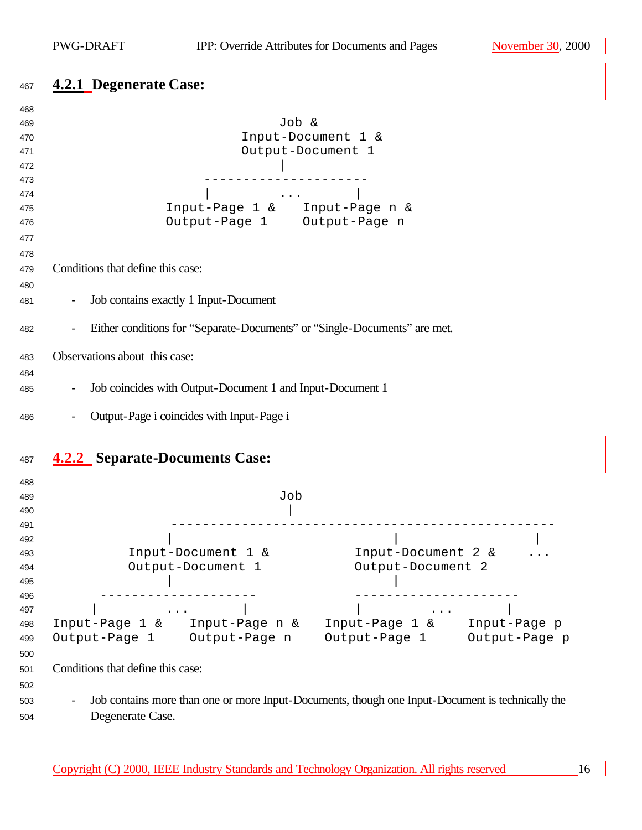# **4.2.1 Degenerate Case:**

| 468        |                                                                                                                                       |  |  |
|------------|---------------------------------------------------------------------------------------------------------------------------------------|--|--|
| 469        | Job &                                                                                                                                 |  |  |
| 470        | Input-Document 1 &                                                                                                                    |  |  |
| 471        | Output-Document 1                                                                                                                     |  |  |
| 472        |                                                                                                                                       |  |  |
| 473        |                                                                                                                                       |  |  |
| 474        | $\mathbf{z}$ , and $\mathbf{z}$ , and $\mathbf{z}$                                                                                    |  |  |
| 475        | Input-Page 1 & Input-Page n &                                                                                                         |  |  |
| 476        | Output-Page 1 Output-Page n                                                                                                           |  |  |
| 477        |                                                                                                                                       |  |  |
| 478        |                                                                                                                                       |  |  |
| 479        | Conditions that define this case:                                                                                                     |  |  |
| 480        |                                                                                                                                       |  |  |
| 481        | Job contains exactly 1 Input-Document                                                                                                 |  |  |
| 482        | Either conditions for "Separate-Documents" or "Single-Documents" are met.                                                             |  |  |
| 483        | Observations about this case:                                                                                                         |  |  |
|            |                                                                                                                                       |  |  |
| 484        |                                                                                                                                       |  |  |
| 485        | Job coincides with Output-Document 1 and Input-Document 1                                                                             |  |  |
| 486        | Output-Page i coincides with Input-Page i                                                                                             |  |  |
| 487        | <b>4.2.2</b> Separate-Documents Case:                                                                                                 |  |  |
|            |                                                                                                                                       |  |  |
| 488<br>489 | Job                                                                                                                                   |  |  |
| 490        |                                                                                                                                       |  |  |
| 491        |                                                                                                                                       |  |  |
| 492        |                                                                                                                                       |  |  |
| 493        | Input-Document 2 &<br>Input-Document 1 &                                                                                              |  |  |
| 494        | Output-Document 2<br>Output-Document 1                                                                                                |  |  |
| 495        |                                                                                                                                       |  |  |
| 496        |                                                                                                                                       |  |  |
| 497        | $\mathbf{r}$ , $\mathbf{r}$ , $\mathbf{r}$ , $\mathbf{r}$ , $\mathbf{r}$<br>$\bullet$ , $\bullet$ , $\bullet$ , $\bullet$ , $\bullet$ |  |  |
| 498        | Input-Page 1 & Input-Page n &<br>Input-Page 1 &<br>Input-Page p                                                                       |  |  |
| 499        | Output-Page 1 Output-Page n<br>Output-Page 1 Output-Page p                                                                            |  |  |
| 500        |                                                                                                                                       |  |  |
| 501        | Conditions that define this case:                                                                                                     |  |  |
| 502        |                                                                                                                                       |  |  |
|            | Job contains more than one or more Input-Documents, though one Input-Document is technically the                                      |  |  |
| 503        |                                                                                                                                       |  |  |
| 504        | Degenerate Case.                                                                                                                      |  |  |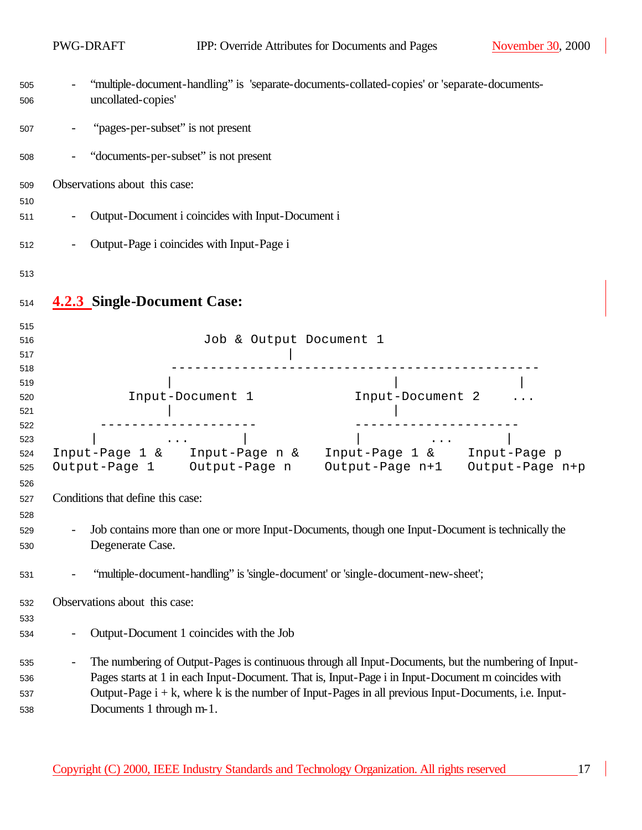|                   | PWG-DRAFT                          |                                                    | IPP: Override Attributes for Documents and Pages                                                                                                                                                                                                                                                                                                                                                                                                            | November 30, 2000 |
|-------------------|------------------------------------|----------------------------------------------------|-------------------------------------------------------------------------------------------------------------------------------------------------------------------------------------------------------------------------------------------------------------------------------------------------------------------------------------------------------------------------------------------------------------------------------------------------------------|-------------------|
| 505<br>506        | uncollated-copies'                 |                                                    | "multiple-document-handling" is 'separate-documents-collated-copies' or 'separate-documents-                                                                                                                                                                                                                                                                                                                                                                |                   |
| 507               |                                    | "pages-per-subset" is not present                  |                                                                                                                                                                                                                                                                                                                                                                                                                                                             |                   |
| 508               |                                    | "documents-per-subset" is not present              |                                                                                                                                                                                                                                                                                                                                                                                                                                                             |                   |
| 509               | Observations about this case:      |                                                    |                                                                                                                                                                                                                                                                                                                                                                                                                                                             |                   |
| 510<br>511        |                                    | Output-Document i coincides with Input-Document i  |                                                                                                                                                                                                                                                                                                                                                                                                                                                             |                   |
| 512               |                                    | Output-Page i coincides with Input-Page i          |                                                                                                                                                                                                                                                                                                                                                                                                                                                             |                   |
| 513               |                                    |                                                    |                                                                                                                                                                                                                                                                                                                                                                                                                                                             |                   |
| 514               | <b>4.2.3 Single-Document Case:</b> |                                                    |                                                                                                                                                                                                                                                                                                                                                                                                                                                             |                   |
| 515               |                                    |                                                    |                                                                                                                                                                                                                                                                                                                                                                                                                                                             |                   |
| 516               |                                    | Job & Output Document 1                            |                                                                                                                                                                                                                                                                                                                                                                                                                                                             |                   |
| 517<br>518        |                                    |                                                    |                                                                                                                                                                                                                                                                                                                                                                                                                                                             |                   |
| 519               |                                    |                                                    |                                                                                                                                                                                                                                                                                                                                                                                                                                                             |                   |
| 520               |                                    | Input-Document 1                                   | Input-Document 2                                                                                                                                                                                                                                                                                                                                                                                                                                            |                   |
| 521               |                                    |                                                    |                                                                                                                                                                                                                                                                                                                                                                                                                                                             |                   |
| 522               |                                    |                                                    |                                                                                                                                                                                                                                                                                                                                                                                                                                                             |                   |
| 523               |                                    | $\mathbf{z}$ , and $\mathbf{z}$ , and $\mathbf{z}$ | $\mathcal{L}(\mathcal{L}(\mathcal{L}(\mathcal{L}(\mathcal{L}(\mathcal{L}(\mathcal{L}(\mathcal{L}(\mathcal{L}(\mathcal{L}(\mathcal{L}(\mathcal{L}(\mathcal{L}(\mathcal{L}(\mathcal{L}(\mathcal{L}(\mathcal{L}(\mathcal{L}(\mathcal{L}(\mathcal{L}(\mathcal{L}(\mathcal{L}(\mathcal{L}(\mathcal{L}(\mathcal{L}(\mathcal{L}(\mathcal{L}(\mathcal{L}(\mathcal{L}(\mathcal{L}(\mathcal{L}(\mathcal{L}(\mathcal{L}(\mathcal{L}(\mathcal{L}(\mathcal{L}(\mathcal{$ |                   |
| 524<br>525<br>526 |                                    | Output-Page 1 Output-Page n                        | Input-Page 1 & Input-Page n & Input-Page 1 & Input-Page p<br>Output-Page n+1 Output-Page n+p                                                                                                                                                                                                                                                                                                                                                                |                   |
| 527<br>528        | Conditions that define this case:  |                                                    |                                                                                                                                                                                                                                                                                                                                                                                                                                                             |                   |
| 529<br>530        | Degenerate Case.                   |                                                    | Job contains more than one or more Input-Documents, though one Input-Document is technically the                                                                                                                                                                                                                                                                                                                                                            |                   |
| 531               |                                    |                                                    | "multiple-document-handling" is 'single-document' or 'single-document-new-sheet';                                                                                                                                                                                                                                                                                                                                                                           |                   |
| 532               | Observations about this case:      |                                                    |                                                                                                                                                                                                                                                                                                                                                                                                                                                             |                   |
| 533               |                                    |                                                    |                                                                                                                                                                                                                                                                                                                                                                                                                                                             |                   |
| 534               |                                    | Output-Document 1 coincides with the Job           |                                                                                                                                                                                                                                                                                                                                                                                                                                                             |                   |
| 535               |                                    |                                                    | The numbering of Output-Pages is continuous through all Input-Documents, but the numbering of Input-                                                                                                                                                                                                                                                                                                                                                        |                   |
| 536               |                                    |                                                    | Pages starts at 1 in each Input-Document. That is, Input-Page i in Input-Document m coincides with                                                                                                                                                                                                                                                                                                                                                          |                   |
| 537               |                                    |                                                    | Output-Page $i + k$ , where k is the number of Input-Pages in all previous Input-Documents, i.e. Input-                                                                                                                                                                                                                                                                                                                                                     |                   |
| 538               | Documents 1 through m-1.           |                                                    |                                                                                                                                                                                                                                                                                                                                                                                                                                                             |                   |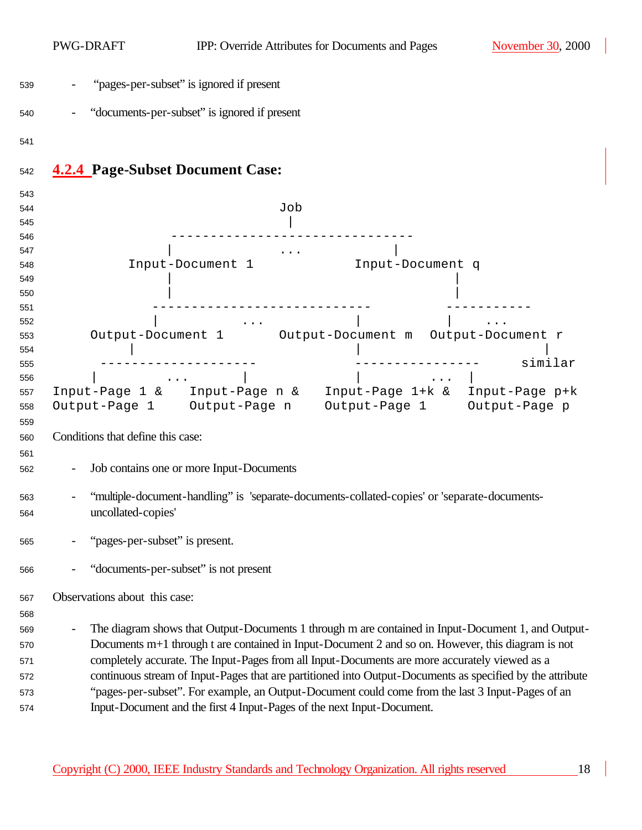|            | PWG-DRAFT                         | IPP: Override Attributes for Documents and Pages                                                          | November 30, 2000 |
|------------|-----------------------------------|-----------------------------------------------------------------------------------------------------------|-------------------|
| 539        |                                   | "pages-per-subset" is ignored if present                                                                  |                   |
| 540        |                                   | "documents-per-subset" is ignored if present                                                              |                   |
| 541        |                                   |                                                                                                           |                   |
| 542        |                                   | <b>4.2.4 Page-Subset Document Case:</b>                                                                   |                   |
| 543        |                                   |                                                                                                           |                   |
| 544        |                                   | Job                                                                                                       |                   |
| 545        |                                   |                                                                                                           |                   |
| 546        |                                   |                                                                                                           |                   |
| 547        |                                   |                                                                                                           |                   |
| 548        |                                   | Input-Document 1<br>Input-Document q                                                                      |                   |
| 549        |                                   |                                                                                                           |                   |
| 550<br>551 |                                   |                                                                                                           |                   |
| 552        |                                   |                                                                                                           |                   |
| 553        |                                   | Output-Document 1 Output-Document m Output-Document r                                                     |                   |
| 554        |                                   |                                                                                                           |                   |
| 555        |                                   |                                                                                                           | similar           |
| 556        |                                   |                                                                                                           | $\cdots$          |
| 557        |                                   | Input-Page 1 & Input-Page n & Input-Page 1+k & Input-Page p+k                                             |                   |
| 558        |                                   | Output-Page 1 Output-Page n Output-Page 1 Output-Page p                                                   |                   |
| 559        |                                   |                                                                                                           |                   |
| 560        | Conditions that define this case: |                                                                                                           |                   |
| 561        |                                   |                                                                                                           |                   |
| 562        |                                   | Job contains one or more Input-Documents                                                                  |                   |
| 563        |                                   | "multiple-document-handling" is 'separate-documents-collated-copies' or 'separate-documents-              |                   |
| 564        | uncollated-copies                 |                                                                                                           |                   |
| 565        | "pages-per-subset" is present.    |                                                                                                           |                   |
| 566        |                                   | "documents-per-subset" is not present                                                                     |                   |
| 567        | Observations about this case:     |                                                                                                           |                   |
| 568        |                                   |                                                                                                           |                   |
| 569        |                                   | The diagram shows that Output-Documents 1 through m are contained in Input-Document 1, and Output-        |                   |
| 570        |                                   | Documents m+1 through t are contained in Input-Document 2 and so on. However, this diagram is not         |                   |
| 571        |                                   | completely accurate. The Input-Pages from all Input-Documents are more accurately viewed as a             |                   |
| 572        |                                   | continuous stream of Input-Pages that are partitioned into Output-Documents as specified by the attribute |                   |
| 573        |                                   | "pages-per-subset". For example, an Output-Document could come from the last 3 Input-Pages of an          |                   |
| 574        |                                   | Input-Document and the first 4 Input-Pages of the next Input-Document.                                    |                   |
|            |                                   |                                                                                                           |                   |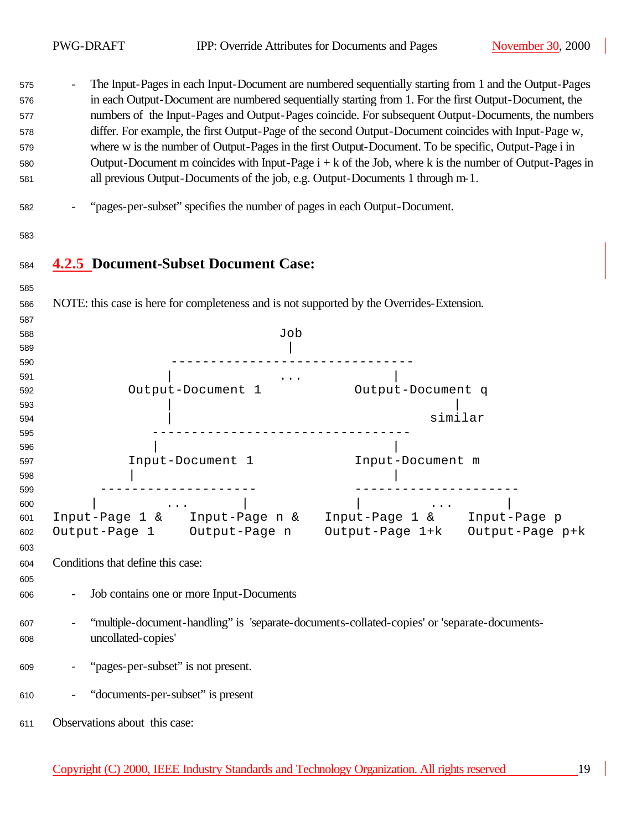- The Input-Pages in each Input-Document are numbered sequentially starting from 1 and the Output-Pages

| 576<br>577<br>578<br>579<br>580<br>581 | in each Output-Document are numbered sequentially starting from 1. For the first Output-Document, the<br>numbers of the Input-Pages and Output-Pages coincide. For subsequent Output-Documents, the numbers<br>differ. For example, the first Output-Page of the second Output-Document coincides with Input-Page w,<br>where w is the number of Output-Pages in the first Output-Document. To be specific, Output-Page i in<br>Output-Document m coincides with Input-Page $i + k$ of the Job, where k is the number of Output-Pages in<br>all previous Output-Documents of the job, e.g. Output-Documents 1 through m-1. |  |
|----------------------------------------|----------------------------------------------------------------------------------------------------------------------------------------------------------------------------------------------------------------------------------------------------------------------------------------------------------------------------------------------------------------------------------------------------------------------------------------------------------------------------------------------------------------------------------------------------------------------------------------------------------------------------|--|
| 582                                    | "pages-per-subset" specifies the number of pages in each Output-Document.                                                                                                                                                                                                                                                                                                                                                                                                                                                                                                                                                  |  |
| 583                                    |                                                                                                                                                                                                                                                                                                                                                                                                                                                                                                                                                                                                                            |  |
| 584                                    | <b>4.2.5</b> Document-Subset Document Case:                                                                                                                                                                                                                                                                                                                                                                                                                                                                                                                                                                                |  |
| 585<br>586                             | NOTE: this case is here for completeness and is not supported by the Overrides-Extension.                                                                                                                                                                                                                                                                                                                                                                                                                                                                                                                                  |  |
| 587                                    |                                                                                                                                                                                                                                                                                                                                                                                                                                                                                                                                                                                                                            |  |
| 588                                    | Job                                                                                                                                                                                                                                                                                                                                                                                                                                                                                                                                                                                                                        |  |
| 589                                    |                                                                                                                                                                                                                                                                                                                                                                                                                                                                                                                                                                                                                            |  |
| 590                                    |                                                                                                                                                                                                                                                                                                                                                                                                                                                                                                                                                                                                                            |  |
| 591                                    |                                                                                                                                                                                                                                                                                                                                                                                                                                                                                                                                                                                                                            |  |
| 592                                    | Output-Document q<br>Output-Document 1                                                                                                                                                                                                                                                                                                                                                                                                                                                                                                                                                                                     |  |
| 593                                    |                                                                                                                                                                                                                                                                                                                                                                                                                                                                                                                                                                                                                            |  |
| 594                                    | similar                                                                                                                                                                                                                                                                                                                                                                                                                                                                                                                                                                                                                    |  |
| 595                                    |                                                                                                                                                                                                                                                                                                                                                                                                                                                                                                                                                                                                                            |  |
| 596                                    |                                                                                                                                                                                                                                                                                                                                                                                                                                                                                                                                                                                                                            |  |
| 597                                    | Input-Document 1<br>Input-Document m                                                                                                                                                                                                                                                                                                                                                                                                                                                                                                                                                                                       |  |
| 598<br>599                             |                                                                                                                                                                                                                                                                                                                                                                                                                                                                                                                                                                                                                            |  |
| 600                                    | $\sim$ 100 km s $^{-1}$ .                                                                                                                                                                                                                                                                                                                                                                                                                                                                                                                                                                                                  |  |
| 601                                    | Input-Page 1 & Input-Page n & Input-Page 1 & Input-Page p                                                                                                                                                                                                                                                                                                                                                                                                                                                                                                                                                                  |  |
| 602                                    | Output-Page 1 Output-Page n<br>Output-Page 1+k Output-Page p+k                                                                                                                                                                                                                                                                                                                                                                                                                                                                                                                                                             |  |
| 603                                    |                                                                                                                                                                                                                                                                                                                                                                                                                                                                                                                                                                                                                            |  |
| 604                                    | Conditions that define this case:                                                                                                                                                                                                                                                                                                                                                                                                                                                                                                                                                                                          |  |
| 605                                    |                                                                                                                                                                                                                                                                                                                                                                                                                                                                                                                                                                                                                            |  |
| 606                                    | Job contains one or more Input-Documents                                                                                                                                                                                                                                                                                                                                                                                                                                                                                                                                                                                   |  |
| 607                                    | "multiple-document-handling" is 'separate-documents-collated-copies' or 'separate-documents-                                                                                                                                                                                                                                                                                                                                                                                                                                                                                                                               |  |
| 608                                    | uncollated-copies'                                                                                                                                                                                                                                                                                                                                                                                                                                                                                                                                                                                                         |  |
|                                        |                                                                                                                                                                                                                                                                                                                                                                                                                                                                                                                                                                                                                            |  |
| 609                                    | "pages-per-subset" is not present.                                                                                                                                                                                                                                                                                                                                                                                                                                                                                                                                                                                         |  |
| 610                                    | "documents-per-subset" is present                                                                                                                                                                                                                                                                                                                                                                                                                                                                                                                                                                                          |  |
| 611                                    | Observations about this case:                                                                                                                                                                                                                                                                                                                                                                                                                                                                                                                                                                                              |  |
|                                        |                                                                                                                                                                                                                                                                                                                                                                                                                                                                                                                                                                                                                            |  |

Copyright (C) 2000, IEEE Industry Standards and Technology Organization. All rights reserved 19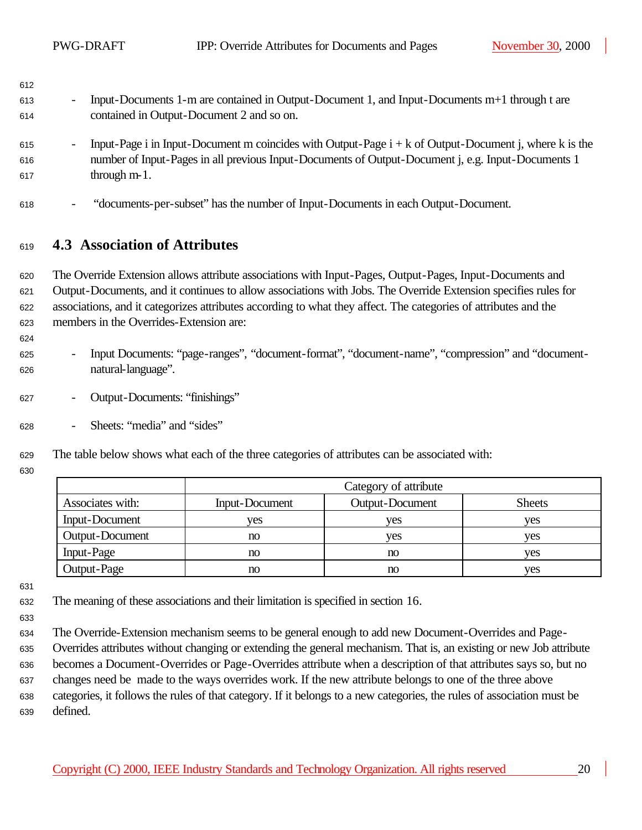| 613 | Input-Documents 1-m are contained in Output-Document 1, and Input-Documents m+1 through t are |
|-----|-----------------------------------------------------------------------------------------------|
| 614 | contained in Output-Document 2 and so on.                                                     |

- 615 Input-Page i in Input-Document m coincides with Output-Page  $i + k$  of Output-Document j, where k is the number of Input-Pages in all previous Input-Documents of Output-Document j, e.g. Input-Documents 1 through  $m-1$ .
- "documents-per-subset" has the number of Input-Documents in each Output-Document.

#### **4.3 Association of Attributes**

 The Override Extension allows attribute associations with Input-Pages, Output-Pages, Input-Documents and Output-Documents, and it continues to allow associations with Jobs. The Override Extension specifies rules for associations, and it categorizes attributes according to what they affect. The categories of attributes and the members in the Overrides-Extension are:

- Input Documents: "page-ranges", "document-format", "document-name", "compression" and "document-natural-language".
- Output-Documents: "finishings"
- Sheets: "media" and "sides"
- The table below shows what each of the three categories of attributes can be associated with:
- 

|                  | Category of attribute |                        |               |
|------------------|-----------------------|------------------------|---------------|
| Associates with: | Input-Document        | <b>Output-Document</b> | <b>Sheets</b> |
| Input-Document   | ves                   | ves                    | ves           |
| Output-Document  | no                    | ves                    | ves           |
| Input-Page       | no                    | no                     | ves           |
| Output-Page      | $\mathbf{n}$          | no                     | ves           |

- The meaning of these associations and their limitation is specified in section 16.
- 
- The Override-Extension mechanism seems to be general enough to add new Document-Overrides and Page-
- Overrides attributes without changing or extending the general mechanism. That is, an existing or new Job attribute
- becomes a Document-Overrides or Page-Overrides attribute when a description of that attributes says so, but no
- changes need be made to the ways overrides work. If the new attribute belongs to one of the three above categories, it follows the rules of that category. If it belongs to a new categories, the rules of association must be defined.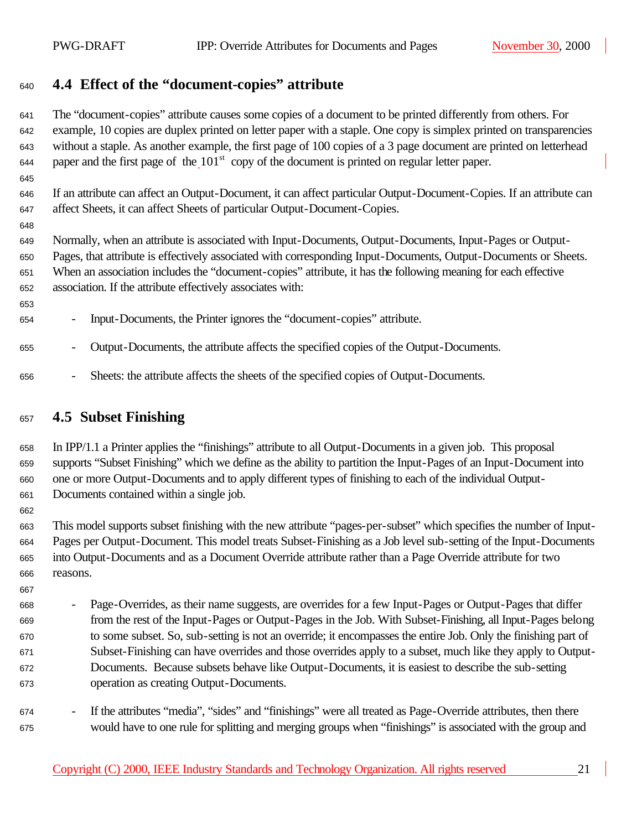### **4.4 Effect of the "document-copies" attribute**

 The "document-copies" attribute causes some copies of a document to be printed differently from others. For example, 10 copies are duplex printed on letter paper with a staple. One copy is simplex printed on transparencies without a staple. As another example, the first page of 100 copies of a 3 page document are printed on letterhead paper and the first page of the  $101<sup>st</sup>$  copy of the document is printed on regular letter paper.

 If an attribute can affect an Output-Document, it can affect particular Output-Document-Copies. If an attribute can affect Sheets, it can affect Sheets of particular Output-Document-Copies.

 Normally, when an attribute is associated with Input-Documents, Output-Documents, Input-Pages or Output- Pages, that attribute is effectively associated with corresponding Input-Documents, Output-Documents or Sheets. When an association includes the "document-copies" attribute, it has the following meaning for each effective association. If the attribute effectively associates with:

- Input-Documents, the Printer ignores the "document-copies" attribute.

- Output-Documents, the attribute affects the specified copies of the Output-Documents.
- Sheets: the attribute affects the sheets of the specified copies of Output-Documents.

#### **4.5 Subset Finishing**

 In IPP/1.1 a Printer applies the "finishings" attribute to all Output-Documents in a given job. This proposal supports "Subset Finishing" which we define as the ability to partition the Input-Pages of an Input-Document into one or more Output-Documents and to apply different types of finishing to each of the individual Output-Documents contained within a single job.

 This model supports subset finishing with the new attribute "pages-per-subset" which specifies the number of Input- Pages per Output-Document. This model treats Subset-Finishing as a Job level sub-setting of the Input-Documents into Output-Documents and as a Document Override attribute rather than a Page Override attribute for two reasons.

 - Page-Overrides, as their name suggests, are overrides for a few Input-Pages or Output-Pages that differ from the rest of the Input-Pages or Output-Pages in the Job. With Subset-Finishing, all Input-Pages belong to some subset. So, sub-setting is not an override; it encompasses the entire Job. Only the finishing part of Subset-Finishing can have overrides and those overrides apply to a subset, much like they apply to Output- Documents. Because subsets behave like Output-Documents, it is easiest to describe the sub-setting operation as creating Output-Documents.

 - If the attributes "media", "sides" and "finishings" were all treated as Page-Override attributes, then there would have to one rule for splitting and merging groups when "finishings" is associated with the group and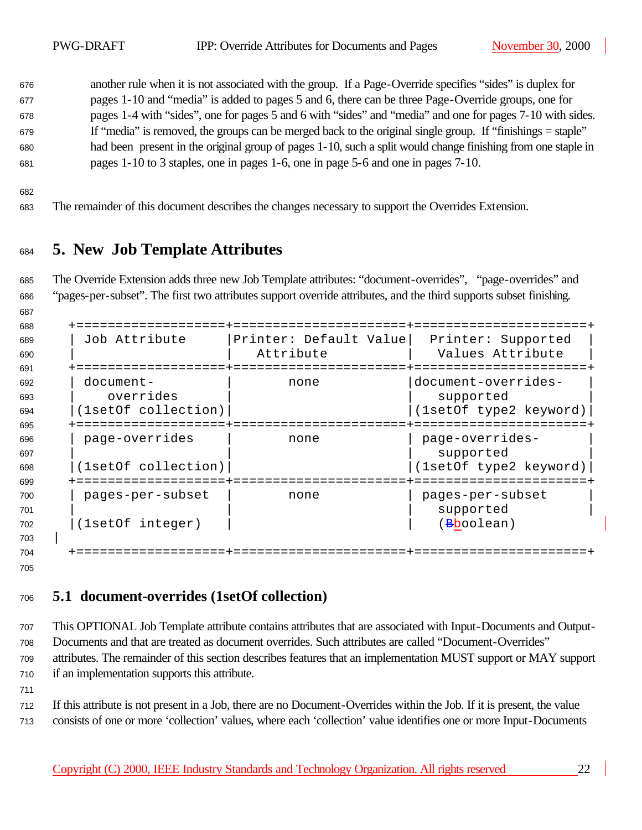another rule when it is not associated with the group. If a Page-Override specifies "sides" is duplex for pages 1-10 and "media" is added to pages 5 and 6, there can be three Page-Override groups, one for pages 1-4 with "sides", one for pages 5 and 6 with "sides" and "media" and one for pages 7-10 with sides. If "media" is removed, the groups can be merged back to the original single group. If "finishings = staple" had been present in the original group of pages 1-10, such a split would change finishing from one staple in pages 1-10 to 3 staples, one in pages 1-6, one in page 5-6 and one in pages 7-10.

The remainder of this document describes the changes necessary to support the Overrides Extension.

## **5. New Job Template Attributes**

 The Override Extension adds three new Job Template attributes: "document-overrides", "page-overrides" and "pages-per-subset". The first two attributes support override attributes, and the third supports subset finishing.

 +===================+======================+======================+ | Job Attribute |Printer: Default Value| Printer: Supported | | | Attribute | Values Attribute | +===================+======================+======================+ | document- | none |document-overrides- | 693 | overrides | supported |(1setOf collection)| |(1setOf type2 keyword)| +===================+======================+======================+ 696 | page-overrides | none | page-overrides- | | | supported | |(1setOf collection)| |(1setOf type2 keyword)| +===================+======================+======================+ | pages-per-subset | none | pages-per-subset | 701 | Supported | Supported | Supported | Supported | Supported | Supported | Supported | Supported | Supported | Supported | Supported | Supported | Supported | Supported | Supported | Supported | Supported | Supported | 702 |(1setOf integer) | | | (Bboolean) | +===================+======================+======================+

## **5.1 document-overrides (1setOf collection)**

 This OPTIONAL Job Template attribute contains attributes that are associated with Input-Documents and Output- Documents and that are treated as document overrides. Such attributes are called "Document-Overrides" attributes. The remainder of this section describes features that an implementation MUST support or MAY support if an implementation supports this attribute.

 If this attribute is not present in a Job, there are no Document-Overrides within the Job. If it is present, the value consists of one or more 'collection' values, where each 'collection' value identifies one or more Input-Documents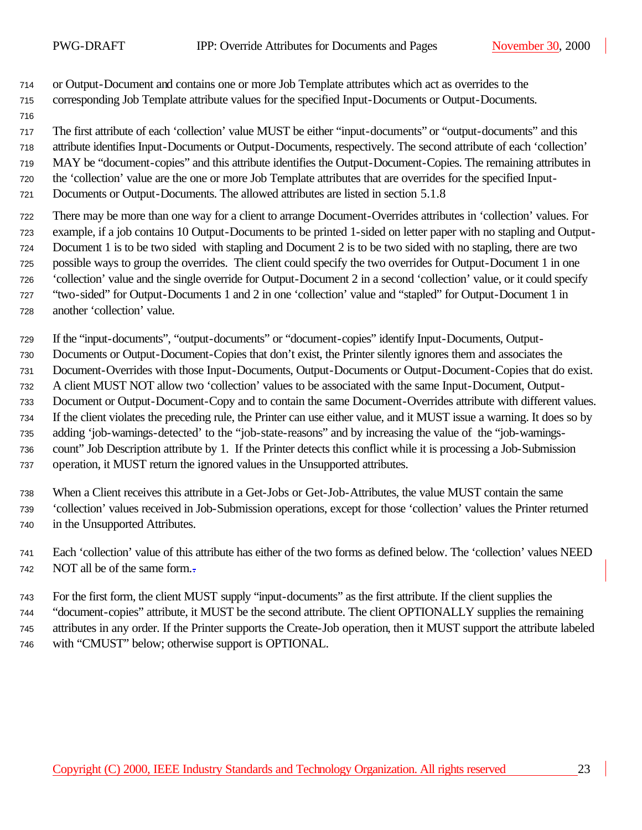or Output-Document and contains one or more Job Template attributes which act as overrides to the corresponding Job Template attribute values for the specified Input-Documents or Output-Documents.

The first attribute of each 'collection' value MUST be either "input-documents" or "output-documents" and this

 attribute identifies Input-Documents or Output-Documents, respectively. The second attribute of each 'collection' MAY be "document-copies" and this attribute identifies the Output-Document-Copies. The remaining attributes in

- the 'collection' value are the one or more Job Template attributes that are overrides for the specified Input-
- Documents or Output-Documents. The allowed attributes are listed in section 5.1.8
- There may be more than one way for a client to arrange Document-Overrides attributes in 'collection' values. For example, if a job contains 10 Output-Documents to be printed 1-sided on letter paper with no stapling and Output- Document 1 is to be two sided with stapling and Document 2 is to be two sided with no stapling, there are two possible ways to group the overrides. The client could specify the two overrides for Output-Document 1 in one 'collection' value and the single override for Output-Document 2 in a second 'collection' value, or it could specify "two-sided" for Output-Documents 1 and 2 in one 'collection' value and "stapled" for Output-Document 1 in another 'collection' value.
- If the "input-documents", "output-documents" or "document-copies" identify Input-Documents, Output-
- Documents or Output-Document-Copies that don't exist, the Printer silently ignores them and associates the
- Document-Overrides with those Input-Documents, Output-Documents or Output-Document-Copies that do exist.
- A client MUST NOT allow two 'collection' values to be associated with the same Input-Document, Output-
- Document or Output-Document-Copy and to contain the same Document-Overrides attribute with different values.
- If the client violates the preceding rule, the Printer can use either value, and it MUST issue a warning. It does so by
- adding 'job-warnings-detected' to the "job-state-reasons" and by increasing the value of the "job-warnings-
- count" Job Description attribute by 1. If the Printer detects this conflict while it is processing a Job-Submission operation, it MUST return the ignored values in the Unsupported attributes.
- When a Client receives this attribute in a Get-Jobs or Get-Job-Attributes, the value MUST contain the same 'collection' values received in Job-Submission operations, except for those 'collection' values the Printer returned in the Unsupported Attributes.
- Each 'collection' value of this attribute has either of the two forms as defined below. The 'collection' values NEED NOT all be of the same form..
- For the first form, the client MUST supply "input-documents" as the first attribute. If the client supplies the "document-copies" attribute, it MUST be the second attribute. The client OPTIONALLY supplies the remaining attributes in any order. If the Printer supports the Create-Job operation, then it MUST support the attribute labeled
- with "CMUST" below; otherwise support is OPTIONAL.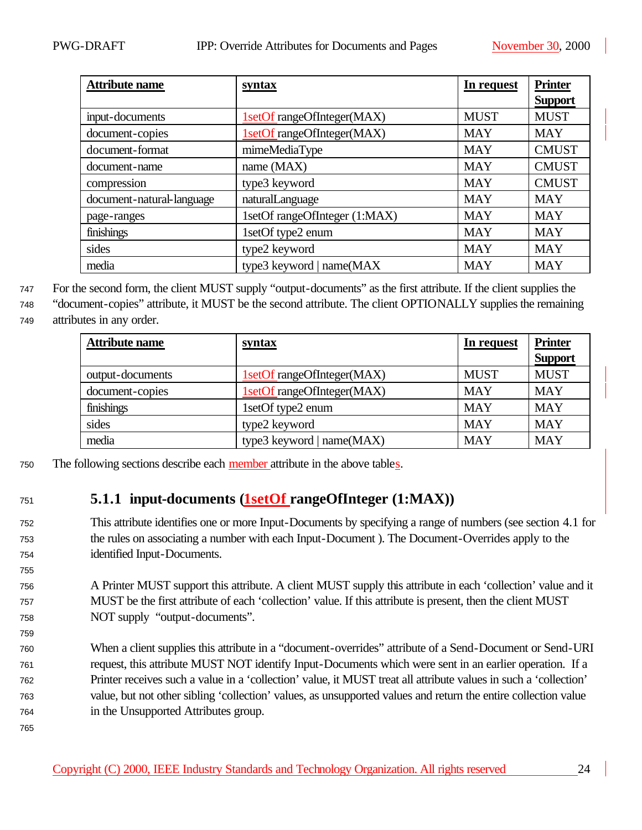| <b>Attribute name</b>     | syntax                        | In request  | <b>Printer</b> |
|---------------------------|-------------------------------|-------------|----------------|
|                           |                               |             | <b>Support</b> |
| input-documents           | 1setOf rangeOfInteger(MAX)    | <b>MUST</b> | <b>MUST</b>    |
| document-copies           | 1setOf rangeOfInteger(MAX)    | <b>MAY</b>  | <b>MAY</b>     |
| document-format           | mimeMediaType                 | <b>MAY</b>  | <b>CMUST</b>   |
| document-name             | name (MAX)                    | <b>MAY</b>  | <b>CMUST</b>   |
| compression               | type3 keyword                 | <b>MAY</b>  | <b>CMUST</b>   |
| document-natural-language | naturalLanguage               | <b>MAY</b>  | <b>MAY</b>     |
| page-ranges               | 1setOf rangeOfInteger (1:MAX) | <b>MAY</b>  | <b>MAY</b>     |
| finishings                | 1setOf type2 enum             | <b>MAY</b>  | <b>MAY</b>     |
| sides                     | type2 keyword                 | <b>MAY</b>  | <b>MAY</b>     |
| media                     | type3 keyword   name(MAX      | <b>MAY</b>  | <b>MAY</b>     |

<sup>747</sup> For the second form, the client MUST supply "output-documents" as the first attribute. If the client supplies the

<sup>748</sup> "document-copies" attribute, it MUST be the second attribute. The client OPTIONALLY supplies the remaining <sup>749</sup> attributes in any order.

| <b>Attribute name</b> | <u>syntax</u>                | In request  | <b>Printer</b><br><b>Support</b> |
|-----------------------|------------------------------|-------------|----------------------------------|
| output-documents      | 1setOf rangeOfInteger(MAX)   | <b>MUST</b> | <b>MUST</b>                      |
| document-copies       | 1setOf rangeOfInteger(MAX)   | <b>MAY</b>  | <b>MAY</b>                       |
| finishings            | 1setOf type2 enum            | <b>MAY</b>  | <b>MAY</b>                       |
| sides                 | type2 keyword                | <b>MAY</b>  | <b>MAY</b>                       |
| media                 | type3 keyword   name $(MAX)$ | <b>MAY</b>  | <b>MAY</b>                       |

<sup>750</sup> The following sections describe each member attribute in the above tables.

## <sup>751</sup> **5.1.1 input-documents (1setOf rangeOfInteger (1:MAX))**

- <sup>752</sup> This attribute identifies one or more Input-Documents by specifying a range of numbers (see section 4.1 for <sup>753</sup> the rules on associating a number with each Input-Document ). The Document-Overrides apply to the <sup>754</sup> identified Input-Documents.
- <sup>756</sup> A Printer MUST support this attribute. A client MUST supply this attribute in each 'collection' value and it <sup>757</sup> MUST be the first attribute of each 'collection' value. If this attribute is present, then the client MUST <sup>758</sup> NOT supply "output-documents".
- <sup>760</sup> When a client supplies this attribute in a "document-overrides" attribute of a Send-Document or Send-URI <sup>761</sup> request, this attribute MUST NOT identify Input-Documents which were sent in an earlier operation. If a <sup>762</sup> Printer receives such a value in a 'collection' value, it MUST treat all attribute values in such a 'collection' <sup>763</sup> value, but not other sibling 'collection' values, as unsupported values and return the entire collection value <sup>764</sup> in the Unsupported Attributes group.

755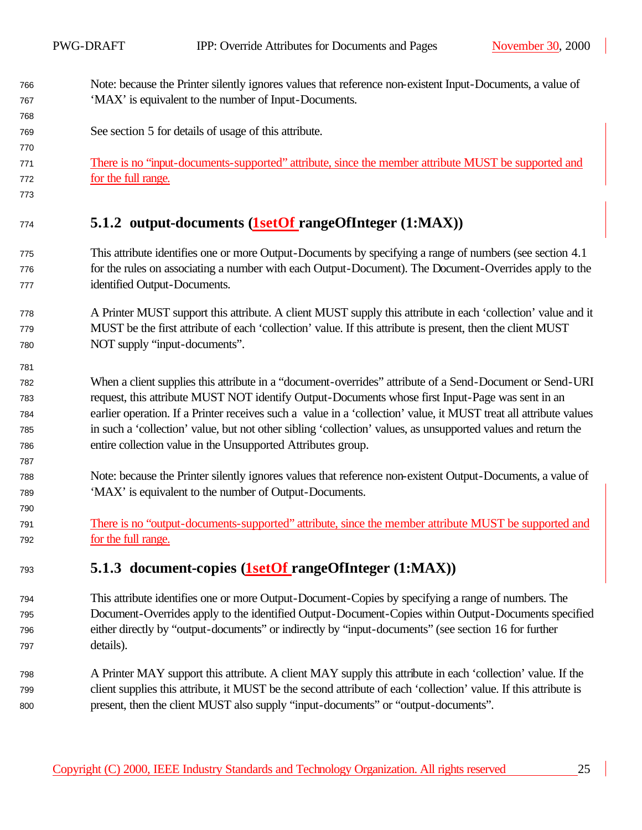- Note: because the Printer silently ignores values that reference non-existent Input-Documents, a value of 'MAX' is equivalent to the number of Input-Documents.
- See section 5 for details of usage of this attribute.
- There is no "input-documents-supported" attribute, since the member attribute MUST be supported and for the full range.
- 

## **5.1.2 output-documents (1setOf rangeOfInteger (1:MAX))**

- This attribute identifies one or more Output-Documents by specifying a range of numbers (see section 4.1 for the rules on associating a number with each Output-Document). The Document-Overrides apply to the identified Output-Documents.
- A Printer MUST support this attribute. A client MUST supply this attribute in each 'collection' value and it MUST be the first attribute of each 'collection' value. If this attribute is present, then the client MUST NOT supply "input-documents".
- When a client supplies this attribute in a "document-overrides" attribute of a Send-Document or Send-URI request, this attribute MUST NOT identify Output-Documents whose first Input-Page was sent in an earlier operation. If a Printer receives such a value in a 'collection' value, it MUST treat all attribute values in such a 'collection' value, but not other sibling 'collection' values, as unsupported values and return the entire collection value in the Unsupported Attributes group.
- Note: because the Printer silently ignores values that reference non-existent Output-Documents, a value of 'MAX' is equivalent to the number of Output-Documents.
- There is no "output-documents-supported" attribute, since the member attribute MUST be supported and for the full range.

### **5.1.3 document-copies (1setOf rangeOfInteger (1:MAX))**

- This attribute identifies one or more Output-Document-Copies by specifying a range of numbers. The Document-Overrides apply to the identified Output-Document-Copies within Output-Documents specified either directly by "output-documents" or indirectly by "input-documents" (see section 16 for further details).
- A Printer MAY support this attribute. A client MAY supply this attribute in each 'collection' value. If the client supplies this attribute, it MUST be the second attribute of each 'collection' value. If this attribute is present, then the client MUST also supply "input-documents" or "output-documents".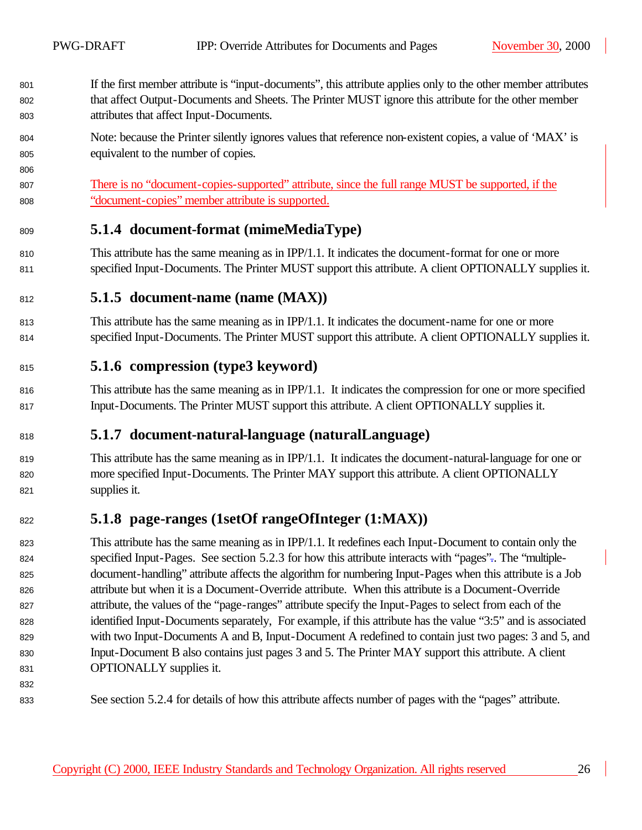- If the first member attribute is "input-documents", this attribute applies only to the other member attributes that affect Output-Documents and Sheets. The Printer MUST ignore this attribute for the other member attributes that affect Input-Documents.
- Note: because the Printer silently ignores values that reference non-existent copies, a value of 'MAX' is equivalent to the number of copies.

 There is no "document-copies-supported" attribute, since the full range MUST be supported, if the "document-copies" member attribute is supported.

#### **5.1.4 document-format (mimeMediaType)**

810 This attribute has the same meaning as in IPP/1.1. It indicates the document-format for one or more specified Input-Documents. The Printer MUST support this attribute. A client OPTIONALLY supplies it.

#### **5.1.5 document-name (name (MAX))**

- This attribute has the same meaning as in IPP/1.1. It indicates the document-name for one or more specified Input-Documents. The Printer MUST support this attribute. A client OPTIONALLY supplies it.
- **5.1.6 compression (type3 keyword)**
- This attribute has the same meaning as in IPP/1.1. It indicates the compression for one or more specified Input-Documents. The Printer MUST support this attribute. A client OPTIONALLY supplies it.

### **5.1.7 document-natural-language (naturalLanguage)**

 This attribute has the same meaning as in IPP/1.1. It indicates the document-natural-language for one or more specified Input-Documents. The Printer MAY support this attribute. A client OPTIONALLY supplies it.

## **5.1.8 page-ranges (1setOf rangeOfInteger (1:MAX))**

 This attribute has the same meaning as in IPP/1.1. It redefines each Input-Document to contain only the specified Input-Pages. See section 5.2.3 for how this attribute interacts with "pages".. The "multiple- document-handling" attribute affects the algorithm for numbering Input-Pages when this attribute is a Job attribute but when it is a Document-Override attribute. When this attribute is a Document-Override attribute, the values of the "page-ranges" attribute specify the Input-Pages to select from each of the identified Input-Documents separately, For example, if this attribute has the value "3:5" and is associated with two Input-Documents A and B, Input-Document A redefined to contain just two pages: 3 and 5, and Input-Document B also contains just pages 3 and 5. The Printer MAY support this attribute. A client OPTIONALLY supplies it.

See section 5.2.4 for details of how this attribute affects number of pages with the "pages" attribute.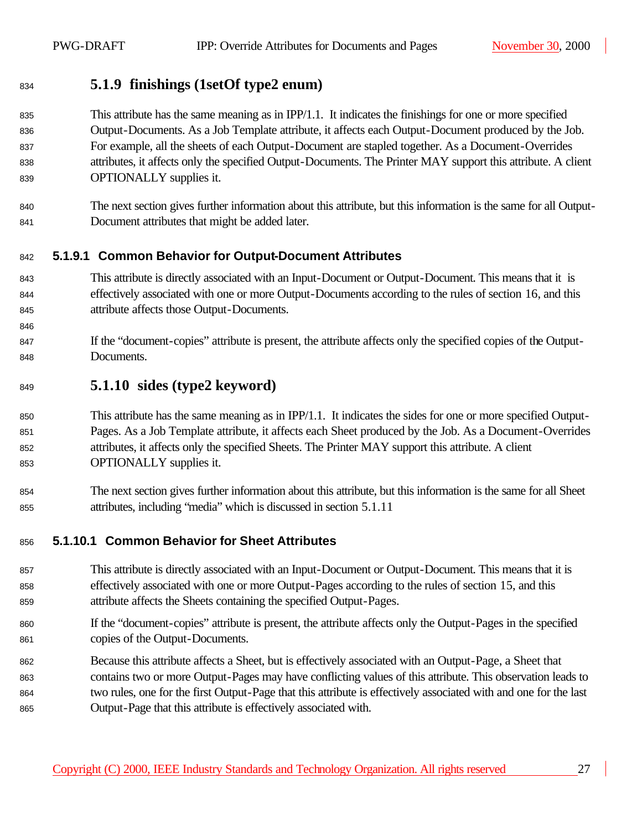### **5.1.9 finishings (1setOf type2 enum)**

#### 835 This attribute has the same meaning as in IPP/1.1. It indicates the finishings for one or more specified Output-Documents. As a Job Template attribute, it affects each Output-Document produced by the Job. For example, all the sheets of each Output-Document are stapled together. As a Document-Overrides attributes, it affects only the specified Output-Documents. The Printer MAY support this attribute. A client OPTIONALLY supplies it.

 The next section gives further information about this attribute, but this information is the same for all Output-Document attributes that might be added later.

#### **5.1.9.1 Common Behavior for Output-Document Attributes**

- This attribute is directly associated with an Input-Document or Output-Document. This means that it is effectively associated with one or more Output-Documents according to the rules of section 16, and this attribute affects those Output-Documents.
- 847 If the "document-copies" attribute is present, the attribute affects only the specified copies of the Output-Documents.

#### **5.1.10 sides (type2 keyword)**

- This attribute has the same meaning as in IPP/1.1. It indicates the sides for one or more specified Output- Pages. As a Job Template attribute, it affects each Sheet produced by the Job. As a Document-Overrides attributes, it affects only the specified Sheets. The Printer MAY support this attribute. A client OPTIONALLY supplies it.
- The next section gives further information about this attribute, but this information is the same for all Sheet attributes, including "media" which is discussed in section 5.1.11

#### **5.1.10.1 Common Behavior for Sheet Attributes**

- This attribute is directly associated with an Input-Document or Output-Document. This means that it is effectively associated with one or more Output-Pages according to the rules of section 15, and this attribute affects the Sheets containing the specified Output-Pages.
- If the "document-copies" attribute is present, the attribute affects only the Output-Pages in the specified copies of the Output-Documents.
- Because this attribute affects a Sheet, but is effectively associated with an Output-Page, a Sheet that contains two or more Output-Pages may have conflicting values of this attribute. This observation leads to two rules, one for the first Output-Page that this attribute is effectively associated with and one for the last Output-Page that this attribute is effectively associated with.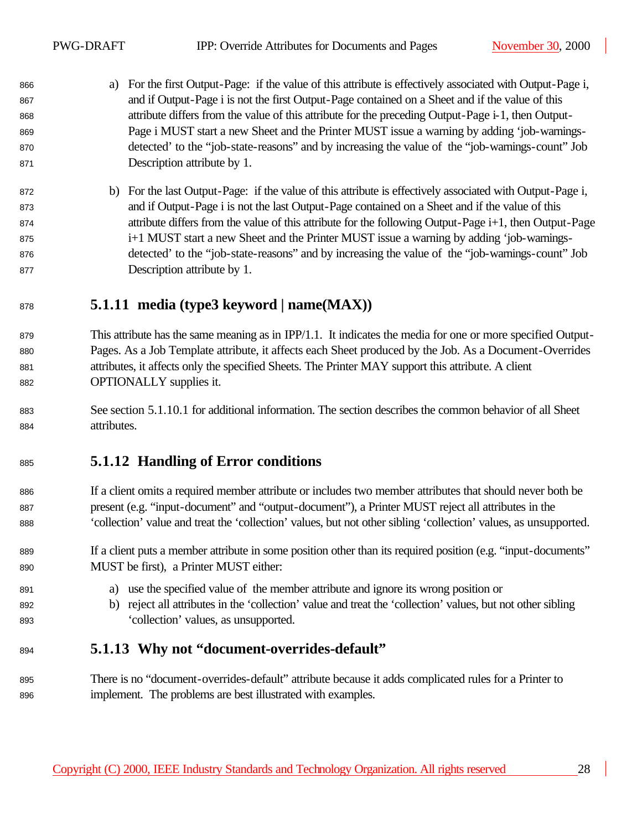- a) For the first Output-Page: if the value of this attribute is effectively associated with Output-Page i, and if Output-Page i is not the first Output-Page contained on a Sheet and if the value of this attribute differs from the value of this attribute for the preceding Output-Page i-1, then Output- Page i MUST start a new Sheet and the Printer MUST issue a warning by adding 'job-warnings- detected' to the "job-state-reasons" and by increasing the value of the "job-warnings-count" Job Description attribute by 1.
- b) For the last Output-Page: if the value of this attribute is effectively associated with Output-Page i, and if Output-Page i is not the last Output-Page contained on a Sheet and if the value of this attribute differs from the value of this attribute for the following Output-Page i+1, then Output-Page 875 **i** i<sup>+1</sup> MUST start a new Sheet and the Printer MUST issue a warning by adding 'job-warnings- detected' to the "job-state-reasons" and by increasing the value of the "job-warnings-count" Job Description attribute by 1.

## **5.1.11 media (type3 keyword | name(MAX))**

- This attribute has the same meaning as in IPP/1.1. It indicates the media for one or more specified Output- Pages. As a Job Template attribute, it affects each Sheet produced by the Job. As a Document-Overrides attributes, it affects only the specified Sheets. The Printer MAY support this attribute. A client OPTIONALLY supplies it.
- See section 5.1.10.1 for additional information. The section describes the common behavior of all Sheet attributes.

## **5.1.12 Handling of Error conditions**

- If a client omits a required member attribute or includes two member attributes that should never both be present (e.g. "input-document" and "output-document"), a Printer MUST reject all attributes in the 'collection' value and treat the 'collection' values, but not other sibling 'collection' values, as unsupported.
- If a client puts a member attribute in some position other than its required position (e.g. "input-documents" MUST be first), a Printer MUST either:
- a) use the specified value of the member attribute and ignore its wrong position or
- b) reject all attributes in the 'collection' value and treat the 'collection' values, but not other sibling 'collection' values, as unsupported.

### **5.1.13 Why not "document-overrides-default"**

 There is no "document-overrides-default" attribute because it adds complicated rules for a Printer to implement. The problems are best illustrated with examples.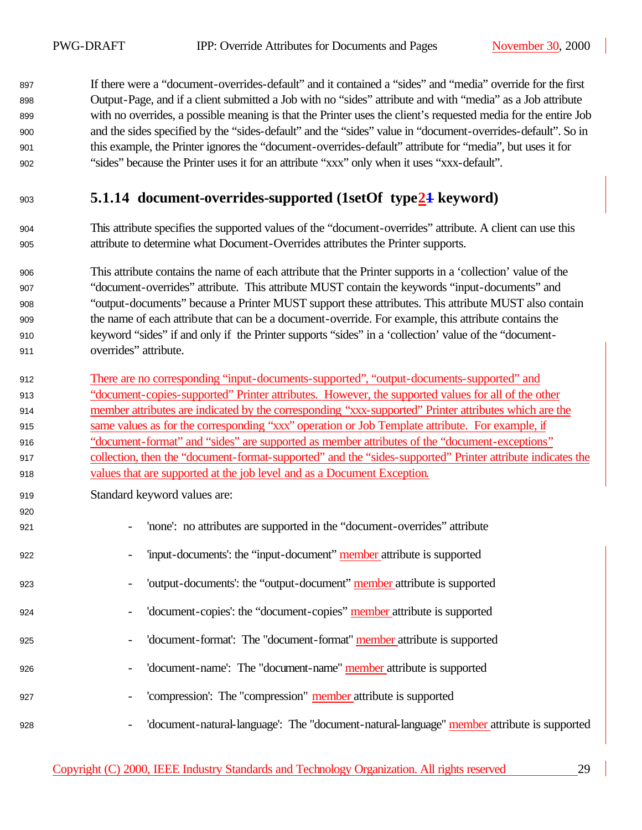If there were a "document-overrides-default" and it contained a "sides" and "media" override for the first Output-Page, and if a client submitted a Job with no "sides" attribute and with "media" as a Job attribute with no overrides, a possible meaning is that the Printer uses the client's requested media for the entire Job and the sides specified by the "sides-default" and the "sides" value in "document-overrides-default". So in this example, the Printer ignores the "document-overrides-default" attribute for "media", but uses it for "sides" because the Printer uses it for an attribute "xxx" only when it uses "xxx-default".

## **5.1.14 document-overrides-supported (1setOf type21 keyword)**

 This attribute specifies the supported values of the "document-overrides" attribute. A client can use this attribute to determine what Document-Overrides attributes the Printer supports.

 This attribute contains the name of each attribute that the Printer supports in a 'collection' value of the "document-overrides" attribute. This attribute MUST contain the keywords "input-documents" and "output-documents" because a Printer MUST support these attributes. This attribute MUST also contain the name of each attribute that can be a document-override. For example, this attribute contains the keyword "sides" if and only if the Printer supports "sides" in a 'collection' value of the "document-overrides" attribute.

 There are no corresponding "input-documents-supported", "output-documents-supported" and "document-copies-supported" Printer attributes. However, the supported values for all of the other member attributes are indicated by the corresponding "xxx-supported" Printer attributes which are the same values as for the corresponding "xxx" operation or Job Template attribute. For example, if "document-format" and "sides" are supported as member attributes of the "document-exceptions" collection, then the "document-format-supported" and the "sides-supported" Printer attribute indicates the values that are supported at the job level and as a Document Exception.

Standard keyword values are:

| 920 |                                                                                                                        |
|-----|------------------------------------------------------------------------------------------------------------------------|
| 921 | 'none': no attributes are supported in the "document-overrides" attribute<br>$\overline{\phantom{a}}$                  |
| 922 | 'input-documents': the "input-document" member attribute is supported<br>$\overline{\phantom{a}}$                      |
| 923 | 'output-documents': the "output-document" member attribute is supported<br>$\overline{\phantom{a}}$                    |
| 924 | 'document-copies': the "document-copies" member attribute is supported<br>$\overline{\phantom{a}}$                     |
| 925 | 'document-format': The "document-format" member attribute is supported<br>$\overline{\phantom{a}}$                     |
| 926 | 'document-name': The "document-name" member attribute is supported<br>$\overline{\phantom{a}}$                         |
| 927 | 'compression': The "compression" member attribute is supported<br>$\overline{\phantom{a}}$                             |
| 928 | 'document-natural-language': The "document-natural-language" member attribute is supported<br>$\overline{\phantom{m}}$ |

#### Copyright (C) 2000, IEEE Industry Standards and Technology Organization. All rights reserved 29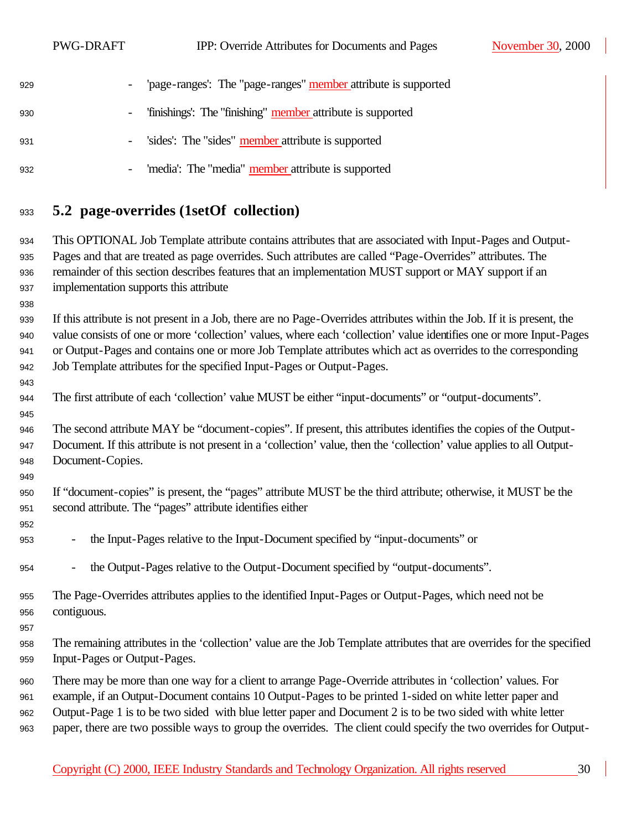PWG-DRAFT IPP: Override Attributes for Documents and Pages November 30, 2000 929 - 'page-ranges': The "page-ranges" member attribute is supported - 'finishings': The "finishing" member attribute is supported - 'sides': The "sides" member attribute is supported

- 'media': The "media" member attribute is supported

### **5.2 page-overrides (1setOf collection)**

 This OPTIONAL Job Template attribute contains attributes that are associated with Input-Pages and Output- Pages and that are treated as page overrides. Such attributes are called "Page-Overrides" attributes. The remainder of this section describes features that an implementation MUST support or MAY support if an implementation supports this attribute

 If this attribute is not present in a Job, there are no Page-Overrides attributes within the Job. If it is present, the value consists of one or more 'collection' values, where each 'collection' value identifies one or more Input-Pages or Output-Pages and contains one or more Job Template attributes which act as overrides to the corresponding Job Template attributes for the specified Input-Pages or Output-Pages.

The first attribute of each 'collection' value MUST be either "input-documents" or "output-documents".

 The second attribute MAY be "document-copies". If present, this attributes identifies the copies of the Output- Document. If this attribute is not present in a 'collection' value, then the 'collection' value applies to all Output-Document-Copies.

- If "document-copies" is present, the "pages" attribute MUST be the third attribute; otherwise, it MUST be the second attribute. The "pages" attribute identifies either
- the Input-Pages relative to the Input-Document specified by "input-documents" or
- the Output-Pages relative to the Output-Document specified by "output-documents".
- The Page-Overrides attributes applies to the identified Input-Pages or Output-Pages, which need not be contiguous.
- 

- The remaining attributes in the 'collection' value are the Job Template attributes that are overrides for the specified Input-Pages or Output-Pages.
- There may be more than one way for a client to arrange Page-Override attributes in 'collection' values. For
- example, if an Output-Document contains 10 Output-Pages to be printed 1-sided on white letter paper and
- Output-Page 1 is to be two sided with blue letter paper and Document 2 is to be two sided with white letter
- paper, there are two possible ways to group the overrides. The client could specify the two overrides for Output-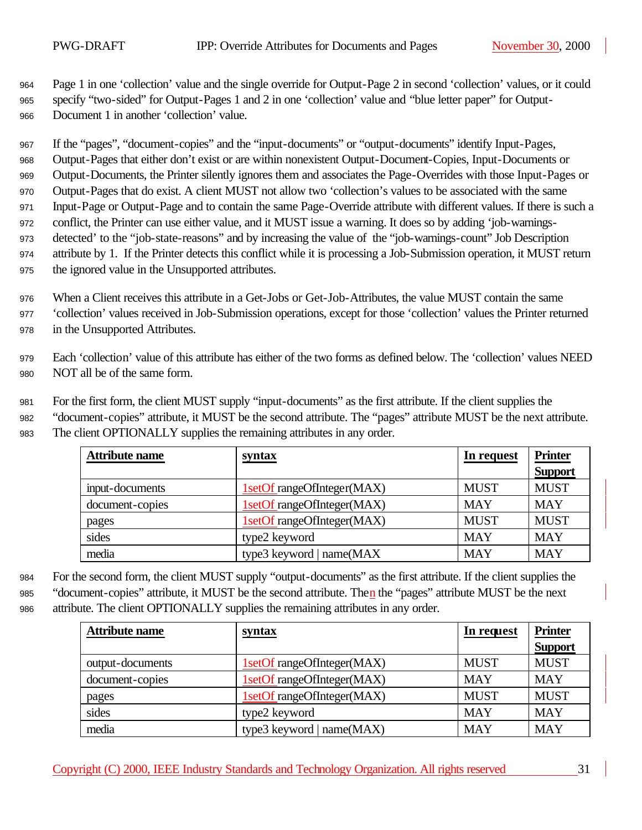<sup>964</sup> Page 1 in one 'collection' value and the single override for Output-Page 2 in second 'collection' values, or it could <sup>965</sup> specify "two-sided" for Output-Pages 1 and 2 in one 'collection' value and "blue letter paper" for Output-<sup>966</sup> Document 1 in another 'collection' value.

 If the "pages", "document-copies" and the "input-documents" or "output-documents" identify Input-Pages, Output-Pages that either don't exist or are within nonexistent Output-Document-Copies, Input-Documents or Output-Documents, the Printer silently ignores them and associates the Page-Overrides with those Input-Pages or Output-Pages that do exist. A client MUST not allow two 'collection's values to be associated with the same Input-Page or Output-Page and to contain the same Page-Override attribute with different values. If there is such a conflict, the Printer can use either value, and it MUST issue a warning. It does so by adding 'job-warnings- detected' to the "job-state-reasons" and by increasing the value of the "job-warnings-count" Job Description attribute by 1. If the Printer detects this conflict while it is processing a Job-Submission operation, it MUST return the ignored value in the Unsupported attributes.

<sup>976</sup> When a Client receives this attribute in a Get-Jobs or Get-Job-Attributes, the value MUST contain the same <sup>977</sup> 'collection' values received in Job-Submission operations, except for those 'collection' values the Printer returned <sup>978</sup> in the Unsupported Attributes.

<sup>979</sup> Each 'collection' value of this attribute has either of the two forms as defined below. The 'collection' values NEED <sup>980</sup> NOT all be of the same form.

<sup>981</sup> For the first form, the client MUST supply "input-documents" as the first attribute. If the client supplies the

<sup>982</sup> "document-copies" attribute, it MUST be the second attribute. The "pages" attribute MUST be the next attribute. <sup>983</sup> The client OPTIONALLY supplies the remaining attributes in any order.

| <b>Attribute name</b> | syntax                     | In request  | <b>Printer</b> |
|-----------------------|----------------------------|-------------|----------------|
|                       |                            |             | <b>Support</b> |
| input-documents       | 1setOf rangeOfInteger(MAX) | <b>MUST</b> | <b>MUST</b>    |
| document-copies       | 1setOf rangeOfInteger(MAX) | <b>MAY</b>  | <b>MAY</b>     |
| pages                 | 1setOf rangeOfInteger(MAX) | <b>MUST</b> | <b>MUST</b>    |
| sides                 | type2 keyword              | <b>MAY</b>  | <b>MAY</b>     |
| media                 | type3 keyword   name(MAX   | <b>MAY</b>  | <b>MAY</b>     |

<sup>984</sup> For the second form, the client MUST supply "output-documents" as the first attribute. If the client supplies the

<sup>985</sup> "document-copies" attribute, it MUST be the second attribute. Then the "pages" attribute MUST be the next

<sup>986</sup> attribute. The client OPTIONALLY supplies the remaining attributes in any order.

| <b>Attribute name</b> | <b>syntax</b>              | In request  | <b>Printer</b><br><b>Support</b> |
|-----------------------|----------------------------|-------------|----------------------------------|
| output-documents      | 1setOf rangeOfInteger(MAX) | <b>MUST</b> | <b>MUST</b>                      |
| document-copies       | 1setOf rangeOfInteger(MAX) | <b>MAY</b>  | <b>MAY</b>                       |
| pages                 | 1setOf rangeOfInteger(MAX) | <b>MUST</b> | <b>MUST</b>                      |
| sides                 | type2 keyword              | <b>MAY</b>  | <b>MAY</b>                       |
| media                 | type3 keyword   name(MAX)  | <b>MAY</b>  | <b>MAY</b>                       |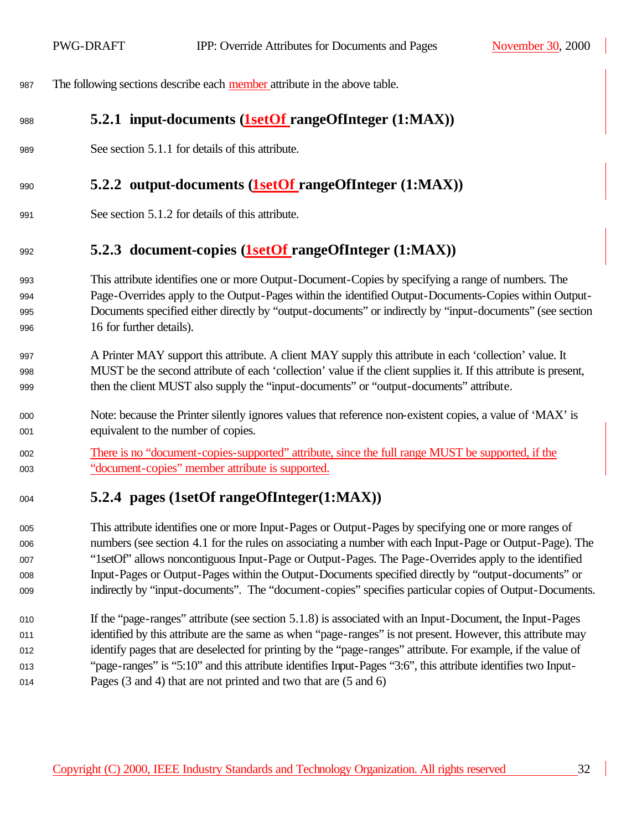The following sections describe each member attribute in the above table.

### **5.2.1 input-documents (1setOf rangeOfInteger (1:MAX))**

See section 5.1.1 for details of this attribute.

#### **5.2.2 output-documents (1setOf rangeOfInteger (1:MAX))**

See section 5.1.2 for details of this attribute.

#### **5.2.3 document-copies (1setOf rangeOfInteger (1:MAX))**

- This attribute identifies one or more Output-Document-Copies by specifying a range of numbers. The Page-Overrides apply to the Output-Pages within the identified Output-Documents-Copies within Output- Documents specified either directly by "output-documents" or indirectly by "input-documents" (see section 16 for further details).
- 997 A Printer MAY support this attribute. A client MAY supply this attribute in each 'collection' value. It MUST be the second attribute of each 'collection' value if the client supplies it. If this attribute is present, then the client MUST also supply the "input-documents" or "output-documents" attribute.
- Note: because the Printer silently ignores values that reference non-existent copies, a value of 'MAX' is equivalent to the number of copies.
- There is no "document-copies-supported" attribute, since the full range MUST be supported, if the "document-copies" member attribute is supported.

## **5.2.4 pages (1setOf rangeOfInteger(1:MAX))**

 This attribute identifies one or more Input-Pages or Output-Pages by specifying one or more ranges of numbers (see section 4.1 for the rules on associating a number with each Input-Page or Output-Page). The "1setOf" allows noncontiguous Input-Page or Output-Pages. The Page-Overrides apply to the identified Input-Pages or Output-Pages within the Output-Documents specified directly by "output-documents" or indirectly by "input-documents". The "document-copies" specifies particular copies of Output-Documents.

 If the "page-ranges" attribute (see section 5.1.8) is associated with an Input-Document, the Input-Pages identified by this attribute are the same as when "page-ranges" is not present. However, this attribute may identify pages that are deselected for printing by the "page-ranges" attribute. For example, if the value of "page-ranges" is "5:10" and this attribute identifies Input-Pages "3:6", this attribute identifies two Input-Pages (3 and 4) that are not printed and two that are (5 and 6)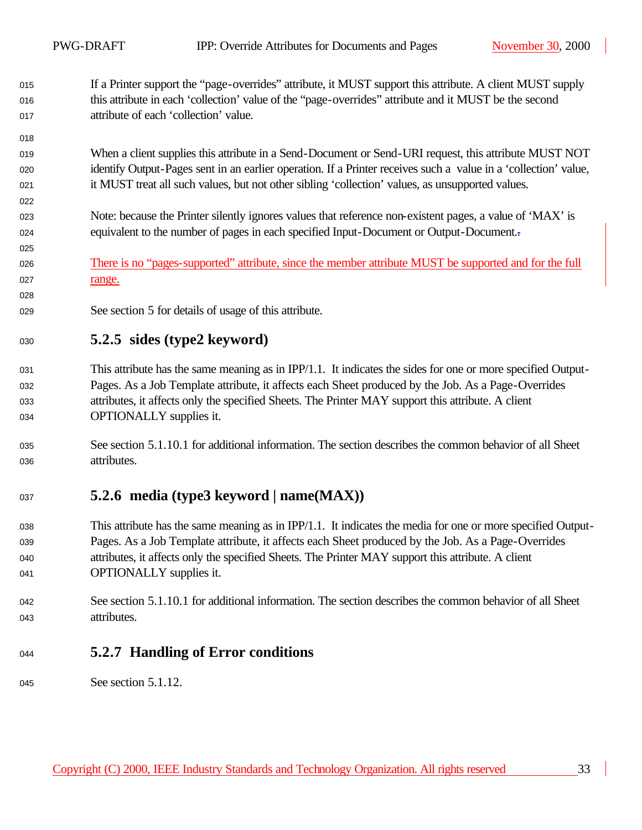If a Printer support the "page-overrides" attribute, it MUST support this attribute. A client MUST supply this attribute in each 'collection' value of the "page-overrides" attribute and it MUST be the second attribute of each 'collection' value.

 When a client supplies this attribute in a Send-Document or Send-URI request, this attribute MUST NOT identify Output-Pages sent in an earlier operation. If a Printer receives such a value in a 'collection' value, it MUST treat all such values, but not other sibling 'collection' values, as unsupported values.

- Note: because the Printer silently ignores values that reference non-existent pages, a value of 'MAX' is 1024 equivalent to the number of pages in each specified Input-Document or Output-Document.
- There is no "pages-supported" attribute, since the member attribute MUST be supported and for the full 027 range.
- 029 See section 5 for details of usage of this attribute.

### **5.2.5 sides (type2 keyword)**

- This attribute has the same meaning as in IPP/1.1. It indicates the sides for one or more specified Output- Pages. As a Job Template attribute, it affects each Sheet produced by the Job. As a Page-Overrides attributes, it affects only the specified Sheets. The Printer MAY support this attribute. A client **OPTIONALLY** supplies it.
- See section 5.1.10.1 for additional information. The section describes the common behavior of all Sheet 036 attributes.

### **5.2.6 media (type3 keyword | name(MAX))**

- This attribute has the same meaning as in IPP/1.1. It indicates the media for one or more specified Output- Pages. As a Job Template attribute, it affects each Sheet produced by the Job. As a Page-Overrides attributes, it affects only the specified Sheets. The Printer MAY support this attribute. A client **OPTIONALLY** supplies it.
- See section 5.1.10.1 for additional information. The section describes the common behavior of all Sheet 043 attributes.

### **5.2.7 Handling of Error conditions**

045 See section 5.1.12.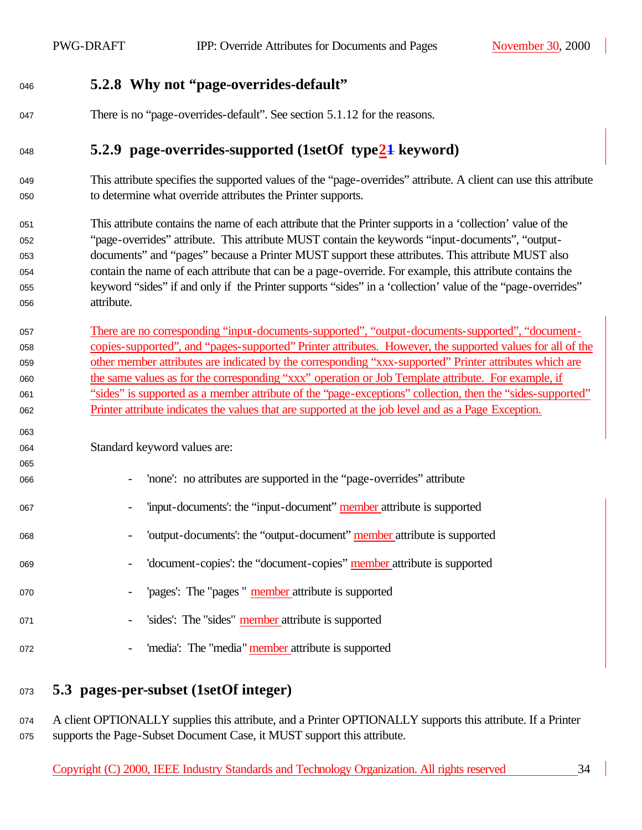#### **5.2.8 Why not "page-overrides-default"**

There is no "page-overrides-default". See section 5.1.12 for the reasons.

### **5.2.9 page-overrides-supported (1setOf type21 keyword)**

- This attribute specifies the supported values of the "page-overrides" attribute. A client can use this attribute to determine what override attributes the Printer supports.
- This attribute contains the name of each attribute that the Printer supports in a 'collection' value of the "page-overrides" attribute. This attribute MUST contain the keywords "input-documents", "output- documents" and "pages" because a Printer MUST support these attributes. This attribute MUST also contain the name of each attribute that can be a page-override. For example, this attribute contains the keyword "sides" if and only if the Printer supports "sides" in a 'collection' value of the "page-overrides" 056 attribute.
- There are no corresponding "input-documents-supported", "output-documents-supported", "document- copies-supported", and "pages-supported" Printer attributes. However, the supported values for all of the other member attributes are indicated by the corresponding "xxx-supported" Printer attributes which are the same values as for the corresponding "xxx" operation or Job Template attribute. For example, if "sides" is supported as a member attribute of the "page-exceptions" collection, then the "sides-supported" Printer attribute indicates the values that are supported at the job level and as a Page Exception.

Standard keyword values are:

- 'none': no attributes are supported in the "page-overrides" attribute
- 'input-documents': the "input-document" member attribute is supported
- 068 'output-documents': the "output-document" member attribute is supported
- 'document-copies': the "document-copies" member attribute is supported
- 070 'pages': The "pages " member attribute is supported
- 071 'sides': The "sides" member attribute is supported
- 072 'media': The "media" member attribute is supported
- **5.3 pages-per-subset (1setOf integer)**

074 A client OPTIONALLY supplies this attribute, and a Printer OPTIONALLY supports this attribute. If a Printer supports the Page-Subset Document Case, it MUST support this attribute.

Copyright (C) 2000, IEEE Industry Standards and Technology Organization. All rights reserved 34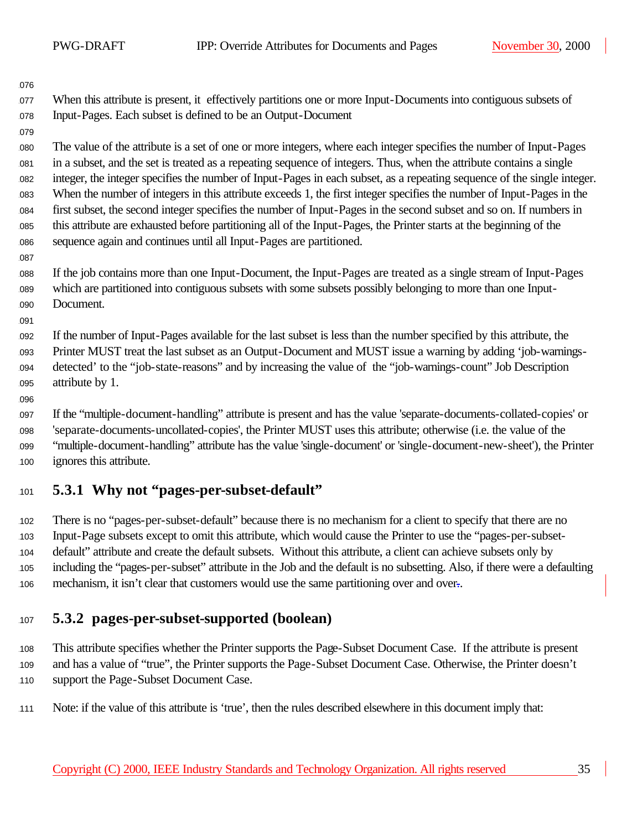When this attribute is present, it effectively partitions one or more Input-Documents into contiguous subsets of Input-Pages. Each subset is defined to be an Output-Document

 The value of the attribute is a set of one or more integers, where each integer specifies the number of Input-Pages in a subset, and the set is treated as a repeating sequence of integers. Thus, when the attribute contains a single integer, the integer specifies the number of Input-Pages in each subset, as a repeating sequence of the single integer. When the number of integers in this attribute exceeds 1, the first integer specifies the number of Input-Pages in the first subset, the second integer specifies the number of Input-Pages in the second subset and so on. If numbers in this attribute are exhausted before partitioning all of the Input-Pages, the Printer starts at the beginning of the sequence again and continues until all Input-Pages are partitioned.

 If the job contains more than one Input-Document, the Input-Pages are treated as a single stream of Input-Pages which are partitioned into contiguous subsets with some subsets possibly belonging to more than one Input-090 Document.

 If the number of Input-Pages available for the last subset is less than the number specified by this attribute, the Printer MUST treat the last subset as an Output-Document and MUST issue a warning by adding 'job-warnings- detected' to the "job-state-reasons" and by increasing the value of the "job-warnings-count" Job Description 095 attribute by 1.

 If the "multiple-document-handling" attribute is present and has the value 'separate-documents-collated-copies' or 'separate-documents-uncollated-copies', the Printer MUST uses this attribute; otherwise (i.e. the value of the "multiple-document-handling" attribute has the value 'single-document' or 'single-document-new-sheet'), the Printer 100 ignores this attribute.

### **5.3.1 Why not "pages-per-subset-default"**

 There is no "pages-per-subset-default" because there is no mechanism for a client to specify that there are no Input-Page subsets except to omit this attribute, which would cause the Printer to use the "pages-per-subset- default" attribute and create the default subsets. Without this attribute, a client can achieve subsets only by including the "pages-per-subset" attribute in the Job and the default is no subsetting. Also, if there were a defaulting mechanism, it isn't clear that customers would use the same partitioning over and over..

### **5.3.2 pages-per-subset-supported (boolean)**

108 This attribute specifies whether the Printer supports the Page-Subset Document Case. If the attribute is present and has a value of "true", the Printer supports the Page-Subset Document Case. Otherwise, the Printer doesn't 110 support the Page-Subset Document Case.

111 Note: if the value of this attribute is 'true', then the rules described elsewhere in this document imply that: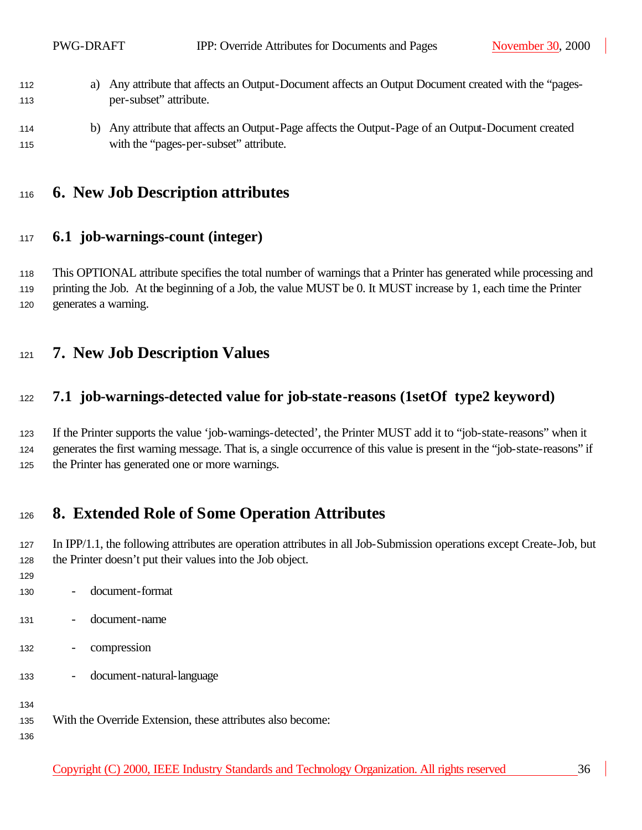- 112 a) Any attribute that affects an Output-Document affects an Output Document created with the "pages-per-subset" attribute.
- b) Any attribute that affects an Output-Page affects the Output-Page of an Output-Document created 115 with the "pages-per-subset" attribute.

## **6. New Job Description attributes**

#### **6.1 job-warnings-count (integer)**

118 This OPTIONAL attribute specifies the total number of warnings that a Printer has generated while processing and 119 printing the Job. At the beginning of a Job, the value MUST be 0. It MUST increase by 1, each time the Printer generates a warning.

### **7. New Job Description Values**

#### **7.1 job-warnings-detected value for job-state-reasons (1setOf type2 keyword)**

 If the Printer supports the value 'job-warnings-detected', the Printer MUST add it to "job-state-reasons" when it generates the first warning message. That is, a single occurrence of this value is present in the "job-state-reasons" if 125 the Printer has generated one or more warnings.

## **8. Extended Role of Some Operation Attributes**

127 In IPP/1.1, the following attributes are operation attributes in all Job-Submission operations except Create-Job, but 128 the Printer doesn't put their values into the Job object.

- 
- document-format
- document-name
- compression
- document-natural-language

With the Override Extension, these attributes also become: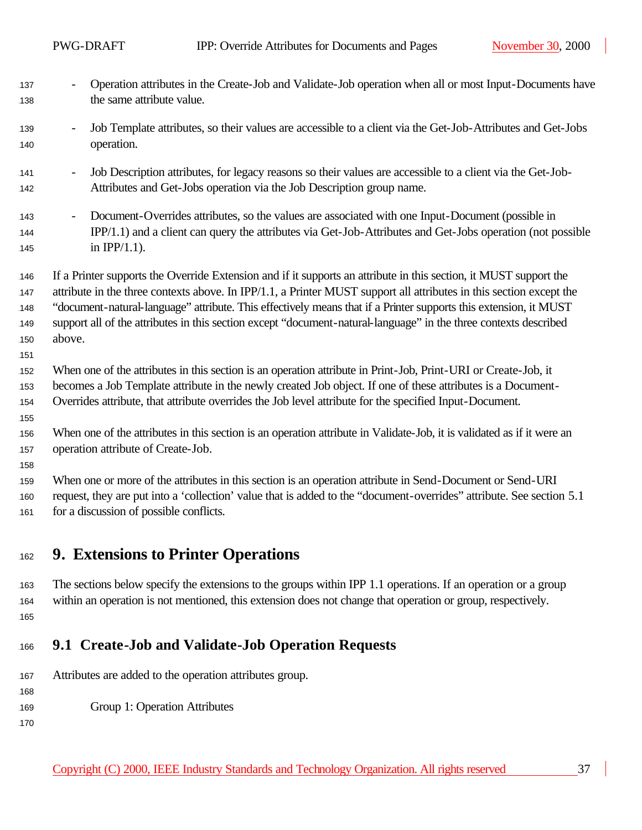- 137 Operation attributes in the Create-Job and Validate-Job operation when all or most Input-Documents have 138 the same attribute value. - Job Template attributes, so their values are accessible to a client via the Get-Job-Attributes and Get-Jobs operation. 141 - Job Description attributes, for legacy reasons so their values are accessible to a client via the Get-Job- Attributes and Get-Jobs operation via the Job Description group name. - Document-Overrides attributes, so the values are associated with one Input-Document (possible in IPP/1.1) and a client can query the attributes via Get-Job-Attributes and Get-Jobs operation (not possible **in IPP/1.1).**  If a Printer supports the Override Extension and if it supports an attribute in this section, it MUST support the 147 attribute in the three contexts above. In IPP/1.1, a Printer MUST support all attributes in this section except the "document-natural-language" attribute. This effectively means that if a Printer supports this extension, it MUST support all of the attributes in this section except "document-natural-language" in the three contexts described 150 above. When one of the attributes in this section is an operation attribute in Print-Job, Print-URI or Create-Job, it 153 becomes a Job Template attribute in the newly created Job object. If one of these attributes is a Document- Overrides attribute, that attribute overrides the Job level attribute for the specified Input-Document. When one of the attributes in this section is an operation attribute in Validate-Job, it is validated as if it were an 157 operation attribute of Create-Job. 159 When one or more of the attributes in this section is an operation attribute in Send-Document or Send-URI request, they are put into a 'collection' value that is added to the "document-overrides" attribute. See section 5.1 161 for a discussion of possible conflicts. **9. Extensions to Printer Operations**
- 163 The sections below specify the extensions to the groups within IPP 1.1 operations. If an operation or a group within an operation is not mentioned, this extension does not change that operation or group, respectively.
- **9.1 Create-Job and Validate-Job Operation Requests**
- 167 Attributes are added to the operation attributes group.
- 169 Group 1: Operation Attributes
-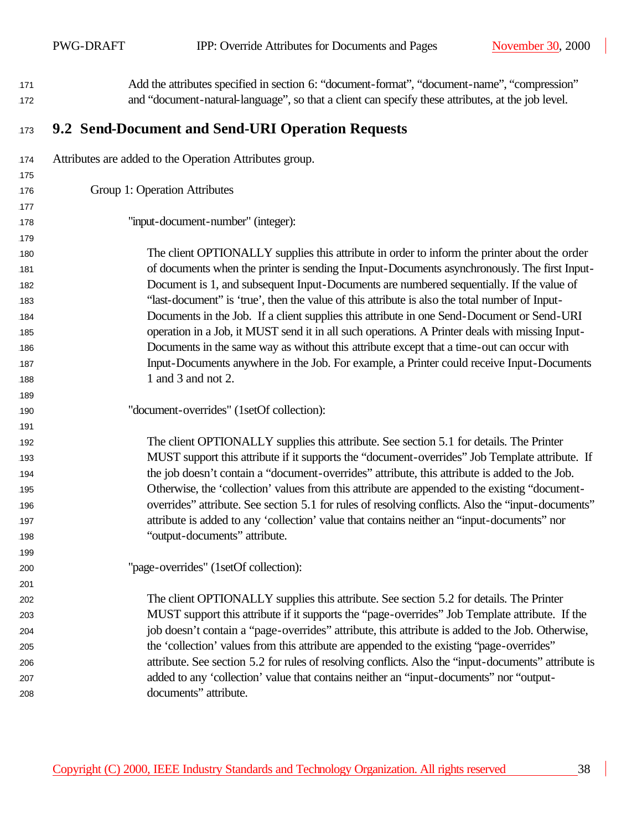$\mathbf{I}$ 

| 171        | Add the attributes specified in section 6: "document-format", "document-name", "compression"                                                                                                    |
|------------|-------------------------------------------------------------------------------------------------------------------------------------------------------------------------------------------------|
| 172        | and "document-natural-language", so that a client can specify these attributes, at the job level.                                                                                               |
| 173        | 9.2 Send-Document and Send-URI Operation Requests                                                                                                                                               |
| 174        | Attributes are added to the Operation Attributes group.                                                                                                                                         |
| 175        |                                                                                                                                                                                                 |
| 176        | Group 1: Operation Attributes                                                                                                                                                                   |
| 177        |                                                                                                                                                                                                 |
| 178        | "input-document-number" (integer):                                                                                                                                                              |
| 179        |                                                                                                                                                                                                 |
| 180        | The client OPTIONALLY supplies this attribute in order to inform the printer about the order                                                                                                    |
| 181        | of documents when the printer is sending the Input-Documents asynchronously. The first Input-                                                                                                   |
| 182        | Document is 1, and subsequent Input-Documents are numbered sequentially. If the value of                                                                                                        |
| 183        | "last-document" is 'true', then the value of this attribute is also the total number of Input-                                                                                                  |
| 184        | Documents in the Job. If a client supplies this attribute in one Send-Document or Send-URI                                                                                                      |
| 185        | operation in a Job, it MUST send it in all such operations. A Printer deals with missing Input-                                                                                                 |
| 186        | Documents in the same way as without this attribute except that a time-out can occur with                                                                                                       |
| 187        | Input-Documents anywhere in the Job. For example, a Printer could receive Input-Documents                                                                                                       |
| 188        | 1 and 3 and not 2.                                                                                                                                                                              |
| 189        |                                                                                                                                                                                                 |
| 190        | "document-overrides" (1setOf collection):                                                                                                                                                       |
| 191        |                                                                                                                                                                                                 |
| 192        | The client OPTIONALLY supplies this attribute. See section 5.1 for details. The Printer                                                                                                         |
| 193        | MUST support this attribute if it supports the "document-overrides" Job Template attribute. If<br>the job doesn't contain a "document-overrides" attribute, this attribute is added to the Job. |
| 194        | Otherwise, the 'collection' values from this attribute are appended to the existing "document-                                                                                                  |
| 195<br>196 | overrides" attribute. See section 5.1 for rules of resolving conflicts. Also the "input-documents"                                                                                              |
| 197        | attribute is added to any 'collection' value that contains neither an "input-documents" nor                                                                                                     |
| 198        | "output-documents" attribute.                                                                                                                                                                   |
| 199        |                                                                                                                                                                                                 |
| 200        | "page-overrides" (1setOf collection):                                                                                                                                                           |
| 201        |                                                                                                                                                                                                 |
| 202        | The client OPTIONALLY supplies this attribute. See section 5.2 for details. The Printer                                                                                                         |
| 203        | MUST support this attribute if it supports the "page-overrides" Job Template attribute. If the                                                                                                  |
| 204        | job doesn't contain a "page-overrides" attribute, this attribute is added to the Job. Otherwise,                                                                                                |
| 205        | the 'collection' values from this attribute are appended to the existing "page-overrides"                                                                                                       |
| 206        |                                                                                                                                                                                                 |
|            | attribute. See section 5.2 for rules of resolving conflicts. Also the "input-documents" attribute is                                                                                            |
| 207        | added to any 'collection' value that contains neither an "input-documents" nor "output-                                                                                                         |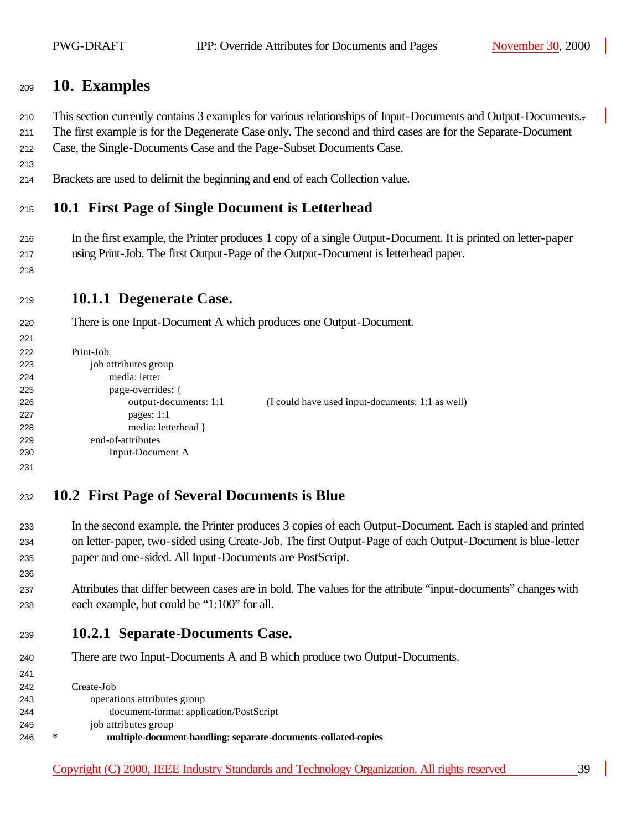### **10. Examples**

This section currently contains 3 examples for various relationships of Input-Documents and Output-Documents..

 The first example is for the Degenerate Case only. The second and third cases are for the Separate-Document Case, the Single-Documents Case and the Page-Subset Documents Case.

Brackets are used to delimit the beginning and end of each Collection value.

### **10.1 First Page of Single Document is Letterhead**

- In the first example, the Printer produces 1 copy of a single Output-Document. It is printed on letter-paper using Print-Job. The first Output-Page of the Output-Document is letterhead paper.
- 

#### **10.1.1 Degenerate Case.**

There is one Input-Document A which produces one Output-Document.

```
1221
1222 Print-Job
223 job attributes group
1224 media: letter
1225 page-overrides: {
226 output-documents: 1:1 (I could have used input-documents: 1:1 as well)
1227 pages: 1:1
1228 media: letterhead }
1229 end-of-attributes
1230 Input-Document A 
1231
```
## **10.2 First Page of Several Documents is Blue**

- In the second example, the Printer produces 3 copies of each Output-Document. Each is stapled and printed on letter-paper, two-sided using Create-Job. The first Output-Page of each Output-Document is blue-letter paper and one-sided. All Input-Documents are PostScript.
- Attributes that differ between cases are in bold. The values for the attribute "input-documents" changes with each example, but could be "1:100" for all.
- **10.2.1 Separate-Documents Case.**
- 240 There are two Input-Documents A and B which produce two Output-Documents.

| 242 |   | Create-Job                                                     |
|-----|---|----------------------------------------------------------------|
| 243 |   | operations attributes group                                    |
| 244 |   | document-format: application/PostScript                        |
| 245 |   | job attributes group                                           |
| 246 | ∗ | multiple-document-handling: separate-documents-collated-copies |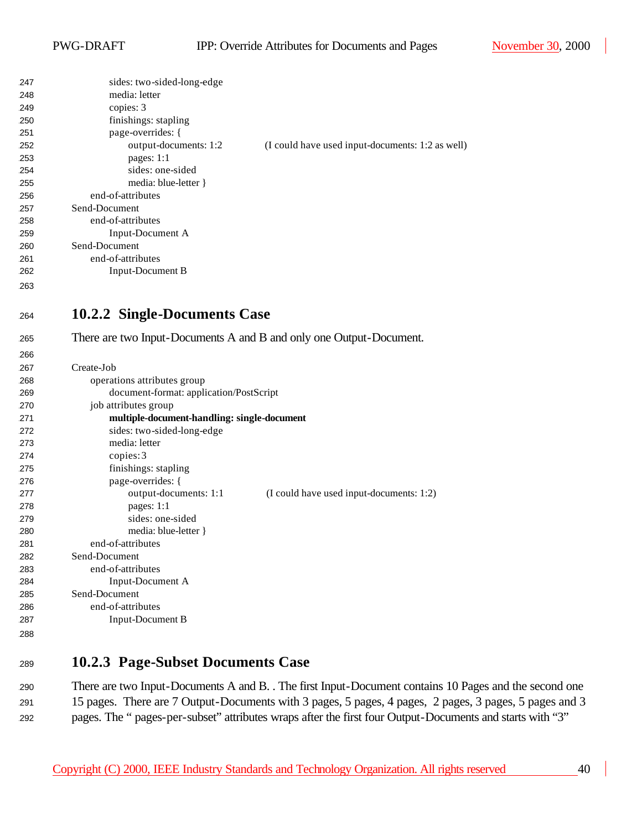| 247 | sides: two-sided-long-edge                                          |                                                  |
|-----|---------------------------------------------------------------------|--------------------------------------------------|
| 248 | media: letter                                                       |                                                  |
| 249 | copies: 3                                                           |                                                  |
| 250 | finishings: stapling                                                |                                                  |
| 251 | page-overrides: {                                                   |                                                  |
| 252 | output-documents: 1:2                                               | (I could have used input-documents: 1:2 as well) |
| 253 | pages: 1:1                                                          |                                                  |
| 254 | sides: one-sided                                                    |                                                  |
| 255 | media: blue-letter }                                                |                                                  |
| 256 | end-of-attributes                                                   |                                                  |
| 257 | Send-Document                                                       |                                                  |
| 258 | end-of-attributes                                                   |                                                  |
| 259 | Input-Document A                                                    |                                                  |
| 260 | Send-Document                                                       |                                                  |
| 261 | end-of-attributes                                                   |                                                  |
| 262 | <b>Input-Document B</b>                                             |                                                  |
| 263 |                                                                     |                                                  |
|     |                                                                     |                                                  |
| 264 | 10.2.2 Single-Documents Case                                        |                                                  |
|     |                                                                     |                                                  |
| 265 | There are two Input-Documents A and B and only one Output-Document. |                                                  |
| 266 |                                                                     |                                                  |
| 267 | Create-Job                                                          |                                                  |
| 268 | operations attributes group                                         |                                                  |
| 269 | document-format: application/PostScript                             |                                                  |
| 270 | job attributes group                                                |                                                  |
| 271 | multiple-document-handling: single-document                         |                                                  |
| 272 | sides: two-sided-long-edge                                          |                                                  |
| 273 | media: letter                                                       |                                                  |
| 274 | copies: 3                                                           |                                                  |
| 275 | finishings: stapling                                                |                                                  |
| 276 | page-overrides: {                                                   |                                                  |
| 277 | output-documents: 1:1                                               | (I could have used input-documents: 1:2)         |
| 278 | pages: 1:1                                                          |                                                  |
| 279 | sides: one-sided                                                    |                                                  |
| 280 | media: blue-letter }                                                |                                                  |
| 281 | end-of-attributes                                                   |                                                  |
| 282 | Send-Document                                                       |                                                  |
| 283 | end-of-attributes                                                   |                                                  |
| 284 | Input-Document A                                                    |                                                  |
| 285 | Send-Document                                                       |                                                  |
| 286 | end-of-attributes                                                   |                                                  |
| 287 | <b>Input-Document B</b>                                             |                                                  |
| 288 |                                                                     |                                                  |
|     |                                                                     |                                                  |

#### **10.2.3 Page-Subset Documents Case**

 There are two Input-Documents A and B. . The first Input-Document contains 10 Pages and the second one 15 pages. There are 7 Output-Documents with 3 pages, 5 pages, 4 pages, 2 pages, 3 pages, 5 pages and 3 pages. The " pages-per-subset" attributes wraps after the first four Output-Documents and starts with "3"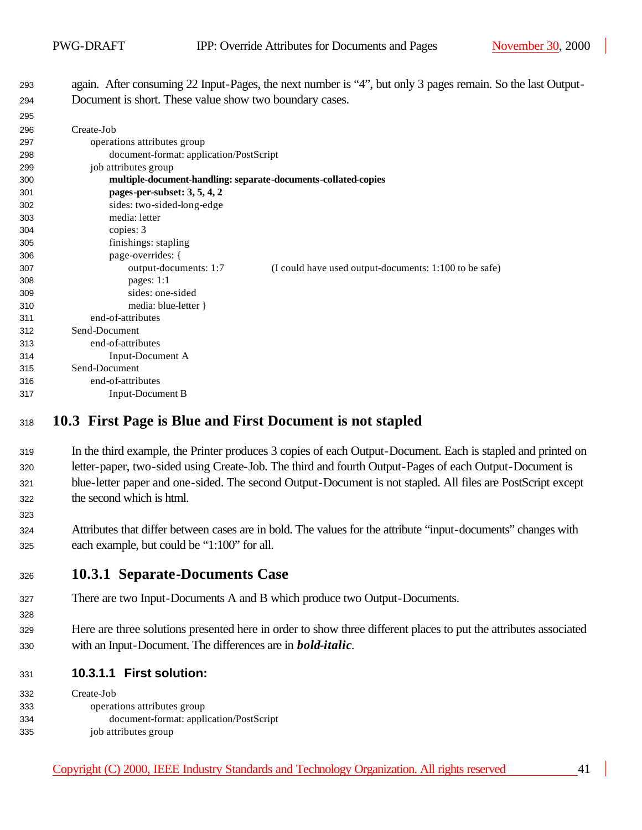again. After consuming 22 Input-Pages, the next number is "4", but only 3 pages remain. So the last Output-294 Document is short. These value show two boundary cases.

| ້   |                                                                |                                                        |
|-----|----------------------------------------------------------------|--------------------------------------------------------|
| 296 | Create-Job                                                     |                                                        |
| 297 | operations attributes group                                    |                                                        |
| 298 | document-format: application/PostScript                        |                                                        |
| 299 | job attributes group                                           |                                                        |
| 300 | multiple-document-handling: separate-documents-collated-copies |                                                        |
| 301 | pages-per-subset: 3, 5, 4, 2                                   |                                                        |
| 302 | sides: two-sided-long-edge                                     |                                                        |
| 303 | media: letter                                                  |                                                        |
| 304 | copies: 3                                                      |                                                        |
| 305 | finishings: stapling                                           |                                                        |
| 306 | page-overrides: {                                              |                                                        |
| 307 | output-documents: 1:7                                          | (I could have used output-documents: 1:100 to be safe) |
| 308 | pages: $1:1$                                                   |                                                        |
| 309 | sides: one-sided                                               |                                                        |
| 310 | media: blue-letter }                                           |                                                        |
| 311 | end-of-attributes                                              |                                                        |
| 312 | Send-Document                                                  |                                                        |
| 313 | end-of-attributes                                              |                                                        |
| 314 | Input-Document A                                               |                                                        |
| 315 | Send-Document                                                  |                                                        |
| 316 | end-of-attributes                                              |                                                        |
| 317 | Input-Document B                                               |                                                        |
|     |                                                                |                                                        |

#### **10.3 First Page is Blue and First Document is not stapled**

 In the third example, the Printer produces 3 copies of each Output-Document. Each is stapled and printed on letter-paper, two-sided using Create-Job. The third and fourth Output-Pages of each Output-Document is blue-letter paper and one-sided. The second Output-Document is not stapled. All files are PostScript except the second which is html.

 Attributes that differ between cases are in bold. The values for the attribute "input-documents" changes with each example, but could be "1:100" for all.

#### **10.3.1 Separate-Documents Case**

- There are two Input-Documents A and B which produce two Output-Documents.
- Here are three solutions presented here in order to show three different places to put the attributes associated with an Input-Document. The differences are in *bold-italic*.
- **10.3.1.1 First solution:**

| 332 | Create-Job                              |
|-----|-----------------------------------------|
| 333 | operations attributes group             |
| 334 | document-format: application/PostScript |
| 335 | job attributes group                    |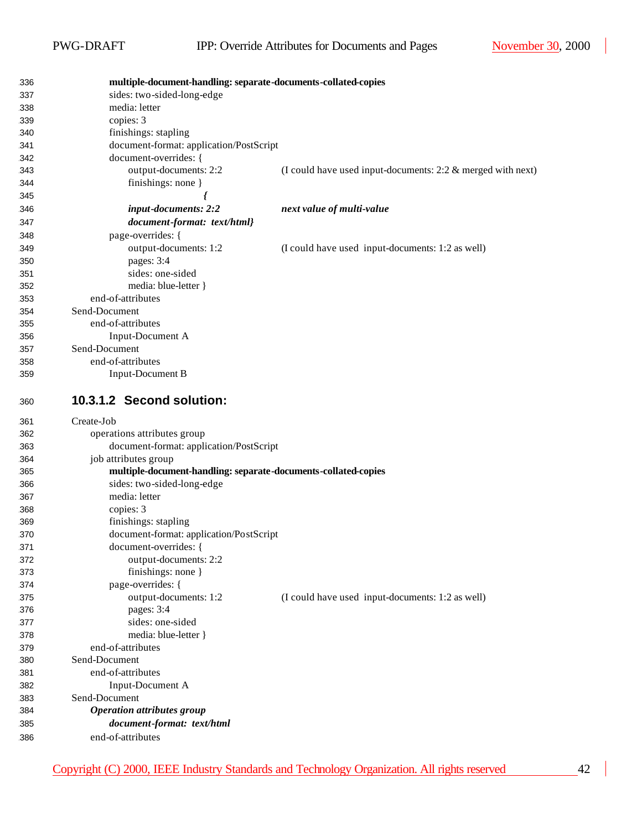| 336        | multiple-document-handling: separate-documents-collated-copies |                                                                |
|------------|----------------------------------------------------------------|----------------------------------------------------------------|
| 337        | sides: two-sided-long-edge                                     |                                                                |
| 338        | media: letter                                                  |                                                                |
| 339        | copies: 3                                                      |                                                                |
| 340        | finishings: stapling                                           |                                                                |
| 341        | document-format: application/PostScript                        |                                                                |
| 342        | document-overrides: {                                          |                                                                |
| 343        | output-documents: 2:2                                          | (I could have used input-documents: $2:2 \&$ merged with next) |
| 344        | finishings: none }                                             |                                                                |
| 345        |                                                                |                                                                |
| 346        | input-documents: 2:2                                           | next value of multi-value                                      |
| 347        | document-format: text/html}                                    |                                                                |
| 348        | page-overrides: {                                              |                                                                |
| 349        | output-documents: 1:2                                          | (I could have used input-documents: 1:2 as well)               |
| 350        | pages: 3:4                                                     |                                                                |
| 351        | sides: one-sided                                               |                                                                |
| 352        | media: blue-letter }                                           |                                                                |
| 353        | end-of-attributes                                              |                                                                |
| 354        | Send-Document                                                  |                                                                |
| 355        | end-of-attributes                                              |                                                                |
| 356        | Input-Document A                                               |                                                                |
| 357        | Send-Document                                                  |                                                                |
| 358        | end-of-attributes                                              |                                                                |
| 359        | <b>Input-Document B</b>                                        |                                                                |
|            |                                                                |                                                                |
| 360        | 10.3.1.2 Second solution:                                      |                                                                |
|            |                                                                |                                                                |
| 361        | Create-Job                                                     |                                                                |
| 362        | operations attributes group                                    |                                                                |
| 363        | document-format: application/PostScript                        |                                                                |
| 364        | job attributes group                                           |                                                                |
| 365        | multiple-document-handling: separate-documents-collated-copies |                                                                |
| 366        | sides: two-sided-long-edge                                     |                                                                |
| 367        | media: letter                                                  |                                                                |
| 368        | copies: 3                                                      |                                                                |
| 369        | finishings: stapling                                           |                                                                |
| 370        | document-format: application/PostScript                        |                                                                |
| 371        | document-overrides: {                                          |                                                                |
| 372        | output-documents: 2:2                                          |                                                                |
| 373        | finishings: none }                                             |                                                                |
| 374        | page-overrides: {                                              |                                                                |
| 375        | output-documents: 1:2                                          | (I could have used input-documents: 1:2 as well)               |
| 376        | pages: 3:4                                                     |                                                                |
| 377        | sides: one-sided                                               |                                                                |
| 378        | media: blue-letter }                                           |                                                                |
| 379        | end-of-attributes                                              |                                                                |
| 380        | Send-Document                                                  |                                                                |
| 381        | end-of-attributes                                              |                                                                |
| 382        | Input-Document A                                               |                                                                |
| 383        | Send-Document                                                  |                                                                |
| 384        | <b>Operation attributes group</b>                              |                                                                |
| 385<br>386 | document-format: text/html<br>end-of-attributes                |                                                                |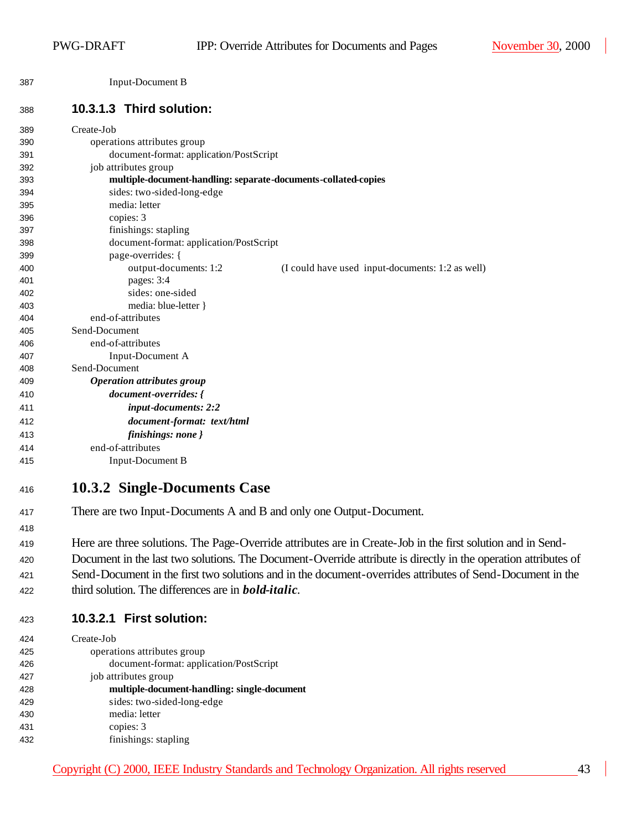Input-Document B

#### **10.3.1.3 Third solution:**

| 389 | Create-Job                                                                |
|-----|---------------------------------------------------------------------------|
| 390 | operations attributes group                                               |
| 391 | document-format: application/PostScript                                   |
| 392 | job attributes group                                                      |
| 393 | multiple-document-handling: separate-documents-collated-copies            |
| 394 | sides: two-sided-long-edge                                                |
| 395 | media: letter                                                             |
| 396 | copies: 3                                                                 |
| 397 | finishings: stapling                                                      |
| 398 | document-format: application/PostScript                                   |
| 399 | page-overrides: {                                                         |
| 400 | output-documents: 1:2<br>(I could have used input-documents: 1:2 as well) |
| 401 | pages: 3:4                                                                |
| 402 | sides: one-sided                                                          |
| 403 | media: blue-letter }                                                      |
| 404 | end-of-attributes                                                         |
| 405 | Send-Document                                                             |
| 406 | end-of-attributes                                                         |
| 407 | Input-Document A                                                          |
| 408 | Send-Document                                                             |
| 409 | <b>Operation attributes group</b>                                         |
| 410 | document-overrides: {                                                     |
| 411 | input-documents: 2:2                                                      |
| 412 | document-format: text/html                                                |
| 413 | finishings: none }                                                        |
| 414 | end-of-attributes                                                         |
| 415 | <b>Input-Document B</b>                                                   |
|     |                                                                           |

#### **10.3.2 Single-Documents Case**

- There are two Input-Documents A and B and only one Output-Document.
- Here are three solutions. The Page-Override attributes are in Create-Job in the first solution and in Send-Document in the last two solutions. The Document-Override attribute is directly in the operation attributes of
- Send-Document in the first two solutions and in the document-overrides attributes of Send-Document in the
- third solution. The differences are in *bold-italic*.

| 423 | 10.3.2.1 First solution: |
|-----|--------------------------|
|     |                          |

| 424 | Create-Job                                  |
|-----|---------------------------------------------|
| 425 | operations attributes group                 |
| 426 | document-format: application/PostScript     |
| 427 | job attributes group                        |
| 428 | multiple-document-handling: single-document |
| 429 | sides: two-sided-long-edge                  |
| 430 | media: letter                               |
| 431 | copies: 3                                   |
| 432 | finishings: stapling                        |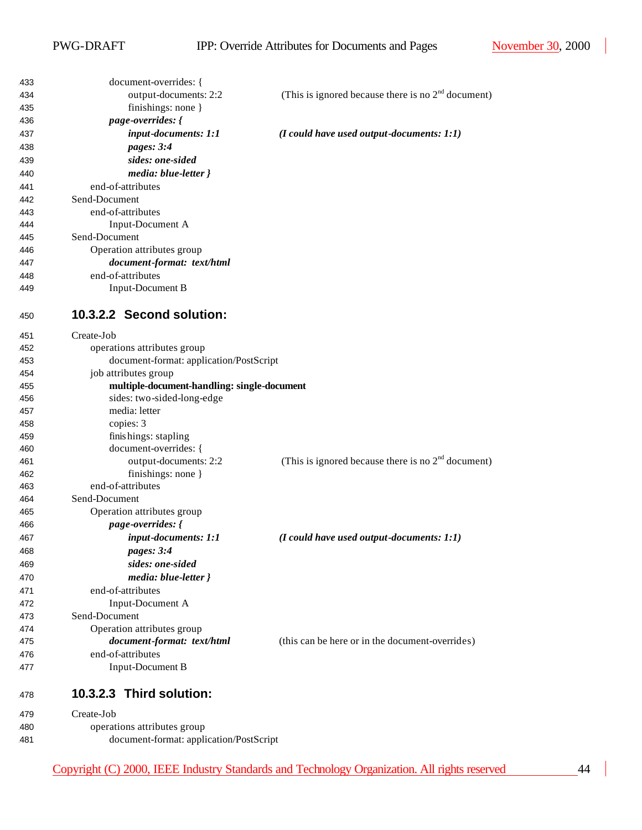| 433 | document-overrides: {                       |                                                      |
|-----|---------------------------------------------|------------------------------------------------------|
| 434 | output-documents: 2:2                       | (This is ignored because there is no $2nd$ document) |
| 435 | finishings: none }                          |                                                      |
| 436 | page-overrides: {                           |                                                      |
| 437 | input-documents: 1:1                        | $(I$ could have used output-documents: $1:1)$        |
| 438 | pages: 3:4                                  |                                                      |
| 439 | sides: one-sided                            |                                                      |
| 440 | media: blue-letter }                        |                                                      |
| 441 | end-of-attributes                           |                                                      |
| 442 | Send-Document                               |                                                      |
| 443 | end-of-attributes                           |                                                      |
| 444 | Input-Document A                            |                                                      |
| 445 | Send-Document                               |                                                      |
| 446 | Operation attributes group                  |                                                      |
| 447 | document-format: text/html                  |                                                      |
| 448 | end-of-attributes                           |                                                      |
| 449 | <b>Input-Document B</b>                     |                                                      |
|     |                                             |                                                      |
| 450 | 10.3.2.2 Second solution:                   |                                                      |
| 451 | Create-Job                                  |                                                      |
| 452 | operations attributes group                 |                                                      |
| 453 | document-format: application/PostScript     |                                                      |
| 454 | job attributes group                        |                                                      |
| 455 | multiple-document-handling: single-document |                                                      |
| 456 | sides: two-sided-long-edge                  |                                                      |
| 457 | media: letter                               |                                                      |
| 458 | copies: 3                                   |                                                      |
| 459 | finishings: stapling                        |                                                      |
| 460 | document-overrides: {                       |                                                      |
| 461 | output-documents: 2:2                       | (This is ignored because there is no $2nd$ document) |
| 462 | finishings: none }                          |                                                      |
| 463 | end-of-attributes                           |                                                      |
| 464 | Send-Document                               |                                                      |
| 465 | Operation attributes group                  |                                                      |
| 466 | page-overrides: {                           |                                                      |
| 467 | input-documents: 1:1                        | $(I$ could have used output-documents: $1:1)$        |
| 468 | pages: 3:4                                  |                                                      |
| 469 | sides: one-sided                            |                                                      |
| 470 | media: blue-letter }                        |                                                      |
|     | end-of-attributes                           |                                                      |
| 471 |                                             |                                                      |
| 472 | Input-Document A<br>Send-Document           |                                                      |
| 473 |                                             |                                                      |
| 474 | Operation attributes group                  |                                                      |
| 475 | document-format: text/html                  | (this can be here or in the document-overrides)      |
| 476 | end-of-attributes                           |                                                      |
| 477 | Input-Document B                            |                                                      |
| 478 | 10.3.2.3 Third solution:                    |                                                      |
| 479 | Create-Job                                  |                                                      |
| 480 | operations attributes group                 |                                                      |
| 481 | document-format: application/PostScript     |                                                      |

Copyright (C) 2000, IEEE Industry Standards and Technology Organization. All rights reserved 44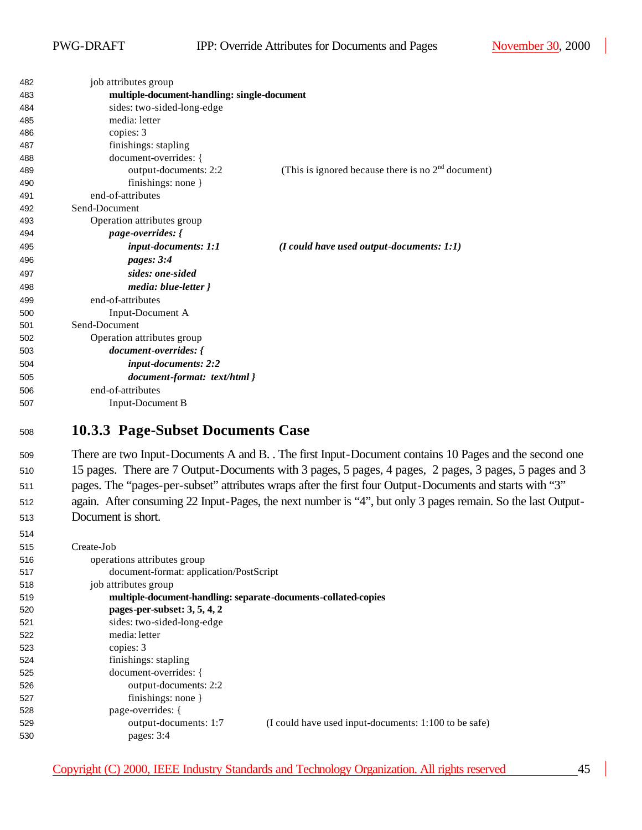| 482 | job attributes group                        |                                                      |
|-----|---------------------------------------------|------------------------------------------------------|
| 483 | multiple-document-handling: single-document |                                                      |
| 484 | sides: two-sided-long-edge                  |                                                      |
| 485 | media: letter                               |                                                      |
| 486 | copies: 3                                   |                                                      |
| 487 | finishings: stapling                        |                                                      |
| 488 | document-overrides: {                       |                                                      |
| 489 | output-documents: 2:2                       | (This is ignored because there is no $2nd$ document) |
| 490 | finishings: none }                          |                                                      |
| 491 | end-of-attributes                           |                                                      |
| 492 | Send-Document                               |                                                      |
| 493 | Operation attributes group                  |                                                      |
| 494 | page-overrides: {                           |                                                      |
| 495 | input-documents: 1:1                        | $(I \text{ could have used output-documents: } 1:1)$ |
| 496 | pages: 3:4                                  |                                                      |
| 497 | sides: one-sided                            |                                                      |
| 498 | media: blue-letter }                        |                                                      |
| 499 | end-of-attributes                           |                                                      |
| 500 | Input-Document A                            |                                                      |
| 501 | Send-Document                               |                                                      |
| 502 | Operation attributes group                  |                                                      |
| 503 | document-overrides: {                       |                                                      |
| 504 | input-documents: 2:2                        |                                                      |
| 505 | document-format: text/html }                |                                                      |
| 506 | end-of-attributes                           |                                                      |
| 507 | Input-Document B                            |                                                      |
|     |                                             |                                                      |

#### **10.3.3 Page-Subset Documents Case**

 There are two Input-Documents A and B. . The first Input-Document contains 10 Pages and the second one 15 pages. There are 7 Output-Documents with 3 pages, 5 pages, 4 pages, 2 pages, 3 pages, 5 pages and 3 pages. The "pages-per-subset" attributes wraps after the first four Output-Documents and starts with "3" again. After consuming 22 Input-Pages, the next number is "4", but only 3 pages remain. So the last Output-Document is short.

| 515 | Create-Job                                                                     |
|-----|--------------------------------------------------------------------------------|
| 516 | operations attributes group                                                    |
| 517 | document-format: application/PostScript                                        |
| 518 | job attributes group                                                           |
| 519 | multiple-document-handling: separate-documents-collated-copies                 |
| 520 | pages-per-subset: $3, 5, 4, 2$                                                 |
| 521 | sides: two-sided-long-edge                                                     |
| 522 | media: letter                                                                  |
| 523 | copies: 3                                                                      |
| 524 | finishings: stapling                                                           |
| 525 | document-overrides: {                                                          |
| 526 | output-documents: 2:2                                                          |
| 527 | finishings: none $\}$                                                          |
| 528 | page-overrides: {                                                              |
| 529 | output-documents: 1:7<br>(I could have used input-documents: 1:100 to be safe) |
| 530 | pages: $3:4$                                                                   |
|     |                                                                                |

Copyright (C) 2000, IEEE Industry Standards and Technology Organization. All rights reserved 45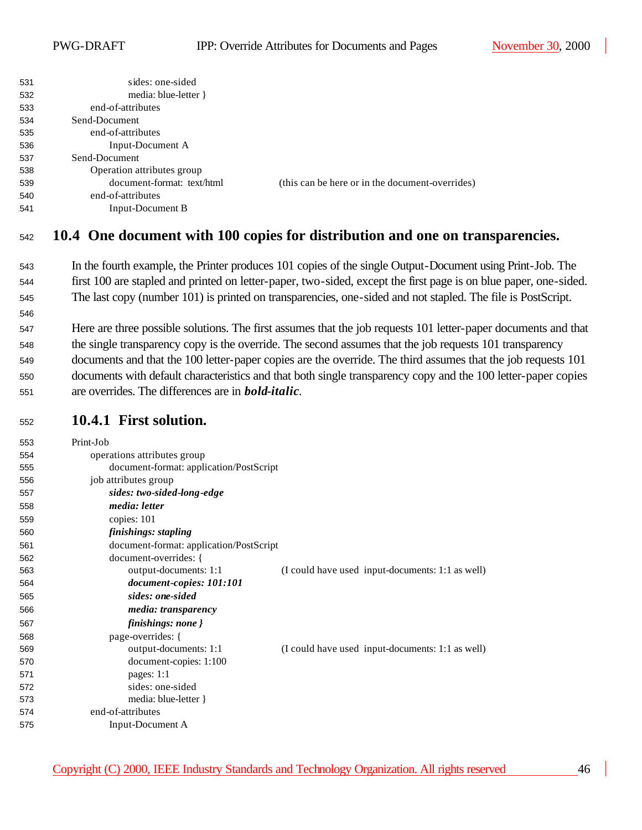| 531 | sides: one-sided           |                                                 |
|-----|----------------------------|-------------------------------------------------|
| 532 | media: blue-letter $\}$    |                                                 |
| 533 | end-of-attributes          |                                                 |
| 534 | Send-Document              |                                                 |
| 535 | end-of-attributes          |                                                 |
| 536 | Input-Document A           |                                                 |
| 537 | Send-Document              |                                                 |
| 538 | Operation attributes group |                                                 |
| 539 | document-format: text/html | (this can be here or in the document-overrides) |
| 540 | end-of-attributes          |                                                 |
| 541 | Input-Document B           |                                                 |
|     |                            |                                                 |

#### **10.4 One document with 100 copies for distribution and one on transparencies.**

- In the fourth example, the Printer produces 101 copies of the single Output-Document using Print-Job. The first 100 are stapled and printed on letter-paper, two-sided, except the first page is on blue paper, one-sided. The last copy (number 101) is printed on transparencies, one-sided and not stapled. The file is PostScript.
- Here are three possible solutions. The first assumes that the job requests 101 letter-paper documents and that the single transparency copy is the override. The second assumes that the job requests 101 transparency documents and that the 100 letter-paper copies are the override. The third assumes that the job requests 101 documents with default characteristics and that both single transparency copy and the 100 letter-paper copies are overrides. The differences are in *bold-italic*.
- **10.4.1 First solution.**

| 553 | Print-Job                               |                                                  |
|-----|-----------------------------------------|--------------------------------------------------|
| 554 | operations attributes group             |                                                  |
| 555 | document-format: application/PostScript |                                                  |
| 556 | job attributes group                    |                                                  |
| 557 | sides: two-sided-long-edge              |                                                  |
| 558 | media: letter                           |                                                  |
| 559 | copies: 101                             |                                                  |
| 560 | finishings: stapling                    |                                                  |
| 561 | document-format: application/PostScript |                                                  |
| 562 | document-overrides: {                   |                                                  |
| 563 | output-documents: 1:1                   | (I could have used input-documents: 1:1 as well) |
| 564 | document-copies: 101:101                |                                                  |
| 565 | sides: one-sided                        |                                                  |
| 566 | <i>media: transparency</i>              |                                                  |
| 567 | finishings: none }                      |                                                  |
| 568 | page-overrides: {                       |                                                  |
| 569 | output-documents: 1:1                   | (I could have used input-documents: 1:1 as well) |
| 570 | document-copies: 1:100                  |                                                  |
| 571 | pages: $1:1$                            |                                                  |
| 572 | sides: one-sided                        |                                                  |
| 573 | media: blue-letter }                    |                                                  |
| 574 | end-of-attributes                       |                                                  |
| 575 | Input-Document A                        |                                                  |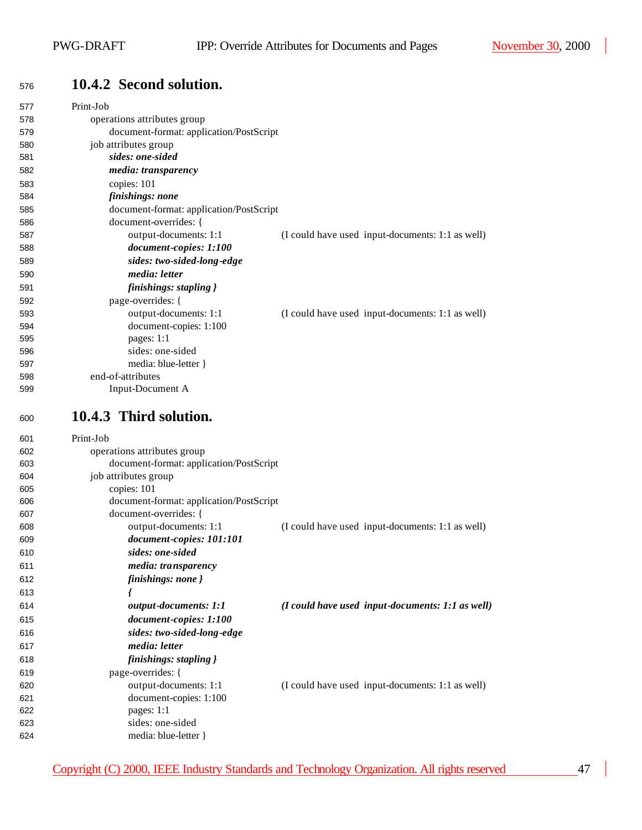# **10.4.2 Second solution.**

| 577        | Print-Job                                                        |                                                  |
|------------|------------------------------------------------------------------|--------------------------------------------------|
| 578        | operations attributes group                                      |                                                  |
| 579        | document-format: application/PostScript                          |                                                  |
| 580        | job attributes group                                             |                                                  |
| 581        | sides: one-sided                                                 |                                                  |
| 582        | media: transparency                                              |                                                  |
| 583        | copies: 101                                                      |                                                  |
| 584        | finishings: none                                                 |                                                  |
| 585        | document-format: application/PostScript                          |                                                  |
| 586        | document-overrides: {                                            |                                                  |
| 587        | output-documents: 1:1                                            | (I could have used input-documents: 1:1 as well) |
| 588        | document-copies: 1:100                                           |                                                  |
| 589        | sides: two-sided-long-edge                                       |                                                  |
| 590        | media: letter                                                    |                                                  |
| 591        | finishings: stapling }                                           |                                                  |
| 592        | page-overrides: {                                                |                                                  |
| 593        | output-documents: 1:1                                            | (I could have used input-documents: 1:1 as well) |
| 594        | document-copies: 1:100                                           |                                                  |
| 595        | pages: 1:1                                                       |                                                  |
| 596        | sides: one-sided                                                 |                                                  |
| 597        | media: blue-letter }                                             |                                                  |
| 598        | end-of-attributes                                                |                                                  |
| 599        | Input-Document A                                                 |                                                  |
| 600        | 10.4.3 Third solution.                                           |                                                  |
|            |                                                                  |                                                  |
|            |                                                                  |                                                  |
| 601        | Print-Job                                                        |                                                  |
| 602<br>603 | operations attributes group                                      |                                                  |
| 604        | document-format: application/PostScript                          |                                                  |
| 605        | job attributes group                                             |                                                  |
| 606        | copies: 101                                                      |                                                  |
| 607        | document-format: application/PostScript<br>document-overrides: { |                                                  |
| 608        | output-documents: 1:1                                            |                                                  |
| 609        | document-copies: 101:101                                         | (I could have used input-documents: 1:1 as well) |
| 610        | sides: one-sided                                                 |                                                  |
| 611        |                                                                  |                                                  |
|            | media: transparency                                              |                                                  |
| 612        | finishings: none }                                               |                                                  |
| 613        |                                                                  |                                                  |
| 614        | output-documents: 1:1                                            | (I could have used input-documents: 1:1 as well) |
| 615        | document-copies: 1:100                                           |                                                  |
| 616        | sides: two-sided-long-edge                                       |                                                  |
| 617        | media: letter                                                    |                                                  |
| 618        | finishings: stapling }                                           |                                                  |
| 619        | page-overrides: {                                                |                                                  |
| 620        | output-documents: 1:1                                            | (I could have used input-documents: 1:1 as well) |
| 621        | document-copies: 1:100                                           |                                                  |
| 622        | pages: 1:1                                                       |                                                  |
| 623<br>624 | sides: one-sided<br>media: blue-letter }                         |                                                  |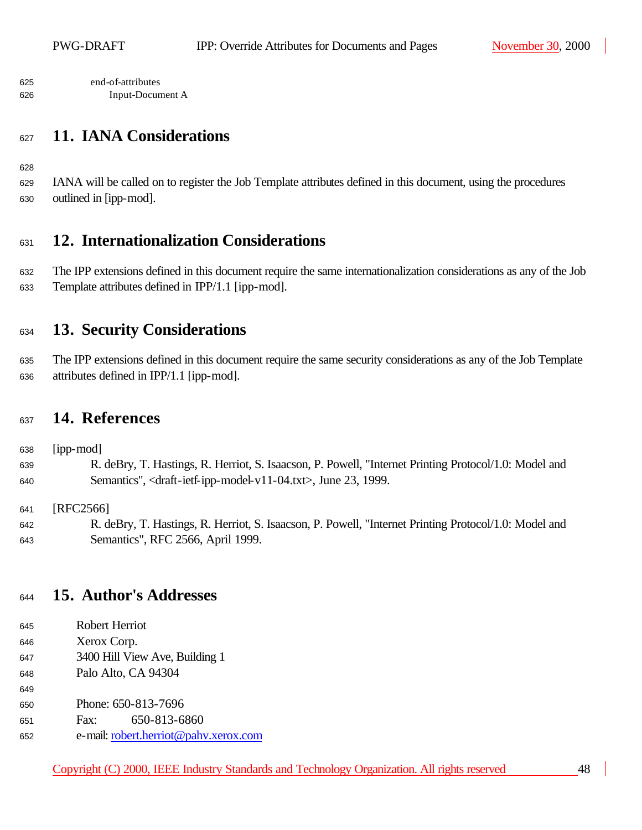end-of-attributes Input-Document A

### **11. IANA Considerations**

 IANA will be called on to register the Job Template attributes defined in this document, using the procedures outlined in [ipp-mod].

#### **12. Internationalization Considerations**

 The IPP extensions defined in this document require the same internationalization considerations as any of the Job Template attributes defined in IPP/1.1 [ipp-mod].

### **13. Security Considerations**

 The IPP extensions defined in this document require the same security considerations as any of the Job Template attributes defined in IPP/1.1 [ipp-mod].

#### **14. References**

638 [ipp-mod] R. deBry, T. Hastings, R. Herriot, S. Isaacson, P. Powell, "Internet Printing Protocol/1.0: Model and Semantics", <draft-ietf-ipp-model-v11-04.txt>, June 23, 1999.

641 [RFC2566]

 R. deBry, T. Hastings, R. Herriot, S. Isaacson, P. Powell, "Internet Printing Protocol/1.0: Model and Semantics", RFC 2566, April 1999.

#### **15. Author's Addresses**

- Robert Herriot
- Xerox Corp.

- 3400 Hill View Ave, Building 1
- Palo Alto, CA 94304
- 650 Phone: 650-813-7696
- Fax: 650-813-6860
- e-mail: robert.herriot@pahv.xerox.com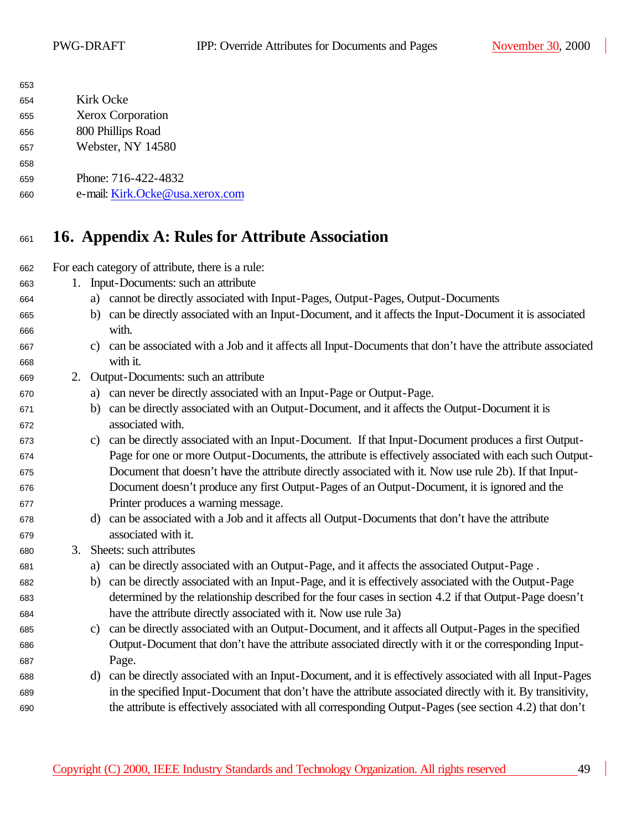| 653 |                                 |
|-----|---------------------------------|
| 654 | Kirk Ocke                       |
| 655 | <b>Xerox Corporation</b>        |
| 656 | 800 Phillips Road               |
| 657 | Webster, NY 14580               |
| 658 |                                 |
| 659 | Phone: 716-422-4832             |
| 660 | e-mail: Kirk.Ocke@usa.xerox.com |
|     |                                 |

## **16. Appendix A: Rules for Attribute Association**

For each category of attribute, there is a rule:

- 1. Input-Documents: such an attribute
- a) cannot be directly associated with Input-Pages, Output-Pages, Output-Documents
- b) can be directly associated with an Input-Document, and it affects the Input-Document it is associated with.
- c) can be associated with a Job and it affects all Input-Documents that don't have the attribute associated with it.
- 2. Output-Documents: such an attribute
- a) can never be directly associated with an Input-Page or Output-Page.
- b) can be directly associated with an Output-Document, and it affects the Output-Document it is associated with.
- c) can be directly associated with an Input-Document. If that Input-Document produces a first Output- Page for one or more Output-Documents, the attribute is effectively associated with each such Output- Document that doesn't have the attribute directly associated with it. Now use rule 2b). If that Input- Document doesn't produce any first Output-Pages of an Output-Document, it is ignored and the Printer produces a warning message.
- d) can be associated with a Job and it affects all Output-Documents that don't have the attribute associated with it.
- 3. Sheets: such attributes
- a) can be directly associated with an Output-Page, and it affects the associated Output-Page .
- b) can be directly associated with an Input-Page, and it is effectively associated with the Output-Page determined by the relationship described for the four cases in section 4.2 if that Output-Page doesn't have the attribute directly associated with it. Now use rule 3a)
- c) can be directly associated with an Output-Document, and it affects all Output-Pages in the specified Output-Document that don't have the attribute associated directly with it or the corresponding Input-**Page.**
- d) can be directly associated with an Input-Document, and it is effectively associated with all Input-Pages in the specified Input-Document that don't have the attribute associated directly with it. By transitivity, the attribute is effectively associated with all corresponding Output-Pages (see section 4.2) that don't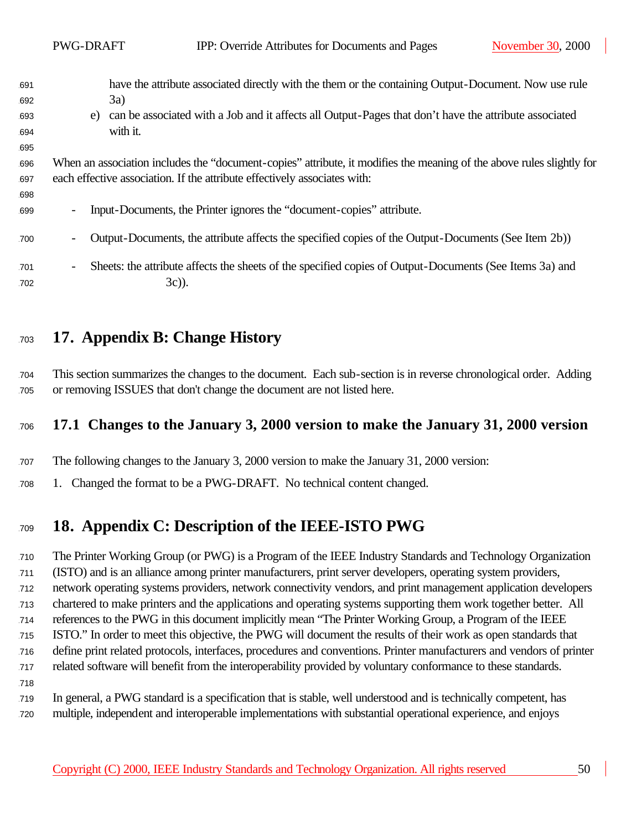|     | PWG-DRAFT                                                                                                             | IPP: Override Attributes for Documents and Pages<br>November 30, 2000                                   |
|-----|-----------------------------------------------------------------------------------------------------------------------|---------------------------------------------------------------------------------------------------------|
|     |                                                                                                                       |                                                                                                         |
| 691 |                                                                                                                       | have the attribute associated directly with the them or the containing Output-Document. Now use rule    |
| 692 |                                                                                                                       | 3a)                                                                                                     |
| 693 | e)                                                                                                                    | can be associated with a Job and it affects all Output-Pages that don't have the attribute associated   |
| 694 |                                                                                                                       | with it.                                                                                                |
| 695 |                                                                                                                       |                                                                                                         |
| 696 | When an association includes the "document-copies" attribute, it modifies the meaning of the above rules slightly for |                                                                                                         |
| 697 |                                                                                                                       | each effective association. If the attribute effectively associates with:                               |
| 698 |                                                                                                                       |                                                                                                         |
| 699 | $\overline{\phantom{a}}$                                                                                              | Input-Documents, the Printer ignores the "document-copies" attribute.                                   |
|     |                                                                                                                       |                                                                                                         |
| 700 | $\overline{\phantom{a}}$                                                                                              | Output-Documents, the attribute affects the specified copies of the Output-Documents (See Item 2b))     |
|     |                                                                                                                       |                                                                                                         |
| 701 | $\overline{\phantom{a}}$                                                                                              | Sheets: the attribute affects the sheets of the specified copies of Output-Documents (See Items 3a) and |
| 702 |                                                                                                                       | $3c)$ ).                                                                                                |
|     |                                                                                                                       |                                                                                                         |

## **17. Appendix B: Change History**

 This section summarizes the changes to the document. Each sub-section is in reverse chronological order. Adding or removing ISSUES that don't change the document are not listed here.

### **17.1 Changes to the January 3, 2000 version to make the January 31, 2000 version**

The following changes to the January 3, 2000 version to make the January 31, 2000 version:

1. Changed the format to be a PWG-DRAFT. No technical content changed.

# **18. Appendix C: Description of the IEEE-ISTO PWG**

 The Printer Working Group (or PWG) is a Program of the IEEE Industry Standards and Technology Organization (ISTO) and is an alliance among printer manufacturers, print server developers, operating system providers, network operating systems providers, network connectivity vendors, and print management application developers chartered to make printers and the applications and operating systems supporting them work together better. All references to the PWG in this document implicitly mean "The Printer Working Group, a Program of the IEEE ISTO." In order to meet this objective, the PWG will document the results of their work as open standards that define print related protocols, interfaces, procedures and conventions. Printer manufacturers and vendors of printer related software will benefit from the interoperability provided by voluntary conformance to these standards. 

 In general, a PWG standard is a specification that is stable, well understood and is technically competent, has multiple, independent and interoperable implementations with substantial operational experience, and enjoys